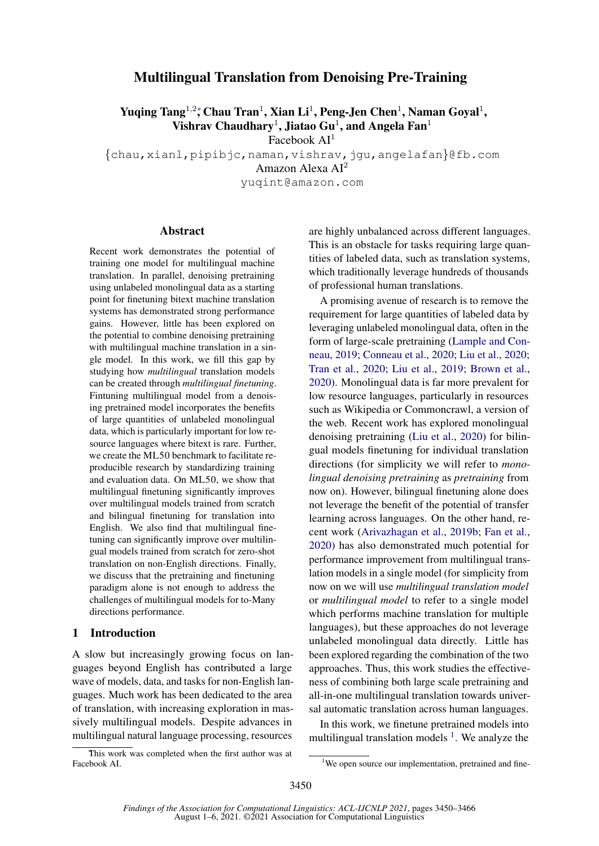## Multilingual Translation from Denoising Pre-Training

Yuqing Tang<sup>1,2</sup>\*, Chau Tran<sup>1</sup>, Xian Li<sup>1</sup>, Peng-Jen Chen<sup>1</sup>, Naman Goyal<sup>1</sup>, Vishrav Chaudhary<sup>1</sup>, Jiatao Gu<sup>1</sup>, and Angela Fan<sup>1</sup>

Facebook AI<sup>1</sup>

{chau,xianl,pipibjc,naman,vishrav,jgu,angelafan}@fb.com

Amazon Alexa AI<sup>2</sup>

yuqint@amazon.com

#### Abstract

Recent work demonstrates the potential of training one model for multilingual machine translation. In parallel, denoising pretraining using unlabeled monolingual data as a starting point for finetuning bitext machine translation systems has demonstrated strong performance gains. However, little has been explored on the potential to combine denoising pretraining with multilingual machine translation in a single model. In this work, we fill this gap by studying how *multilingual* translation models can be created through *multilingual finetuning*. Fintuning multilingual model from a denoising pretrained model incorporates the benefits of large quantities of unlabeled monolingual data, which is particularly important for low resource languages where bitext is rare. Further, we create the ML50 benchmark to facilitate reproducible research by standardizing training and evaluation data. On ML50, we show that multilingual finetuning significantly improves over multilingual models trained from scratch and bilingual finetuning for translation into English. We also find that multilingual finetuning can significantly improve over multilingual models trained from scratch for zero-shot translation on non-English directions. Finally, we discuss that the pretraining and finetuning paradigm alone is not enough to address the challenges of multilingual models for to-Many directions performance.

#### 1 Introduction

A slow but increasingly growing focus on languages beyond English has contributed a large wave of models, data, and tasks for non-English languages. Much work has been dedicated to the area of translation, with increasing exploration in massively multilingual models. Despite advances in multilingual natural language processing, resources

This work was completed when the first author was at Facebook AI.

are highly unbalanced across different languages. This is an obstacle for tasks requiring large quantities of labeled data, such as translation systems, which traditionally leverage hundreds of thousands of professional human translations.

A promising avenue of research is to remove the requirement for large quantities of labeled data by leveraging unlabeled monolingual data, often in the form of large-scale pretraining [\(Lample and Con](#page-11-0)[neau,](#page-11-0) [2019;](#page-11-0) [Conneau et al.,](#page-9-0) [2020;](#page-9-0) [Liu et al.,](#page-11-1) [2020;](#page-11-1) [Tran et al.,](#page-12-0) [2020;](#page-12-0) [Liu et al.,](#page-11-2) [2019;](#page-11-2) [Brown et al.,](#page-9-1) [2020\)](#page-9-1). Monolingual data is far more prevalent for low resource languages, particularly in resources such as Wikipedia or Commoncrawl, a version of the web. Recent work has explored monolingual denoising pretraining [\(Liu et al.,](#page-11-1) [2020\)](#page-11-1) for bilingual models finetuning for individual translation directions (for simplicity we will refer to *monolingual denoising pretraining* as *pretraining* from now on). However, bilingual finetuning alone does not leverage the benefit of the potential of transfer learning across languages. On the other hand, recent work [\(Arivazhagan et al.,](#page-9-2) [2019b;](#page-9-2) [Fan et al.,](#page-10-0) [2020\)](#page-10-0) has also demonstrated much potential for performance improvement from multilingual translation models in a single model (for simplicity from now on we will use *multilingual translation model* or *multilingual model* to refer to a single model which performs machine translation for multiple languages), but these approaches do not leverage unlabeled monolingual data directly. Little has been explored regarding the combination of the two approaches. Thus, this work studies the effectiveness of combining both large scale pretraining and all-in-one multilingual translation towards universal automatic translation across human languages.

In this work, we finetune pretrained models into multilingual translation models  $<sup>1</sup>$  $<sup>1</sup>$  $<sup>1</sup>$ . We analyze the</sup>

<span id="page-0-0"></span><sup>&</sup>lt;sup>1</sup>We open source our implementation, pretrained and fine-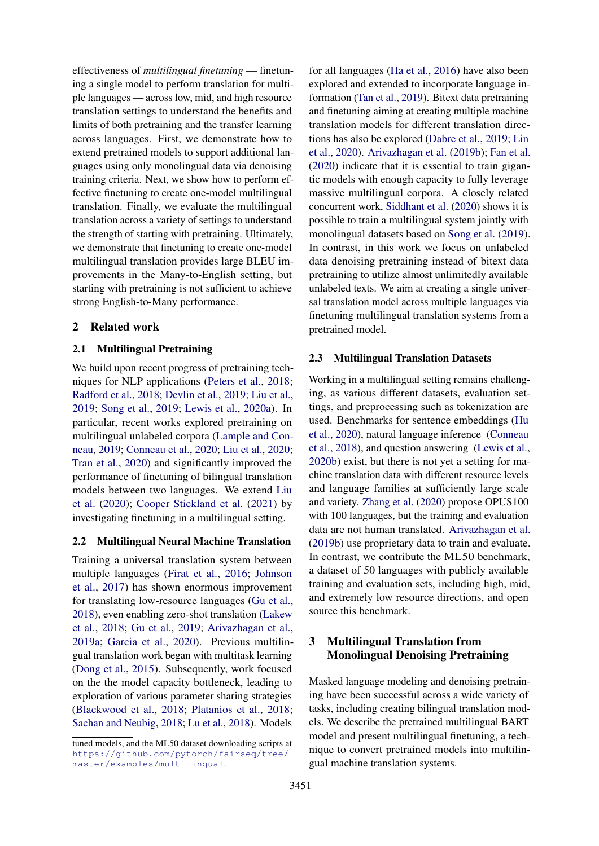effectiveness of *multilingual finetuning* — finetuning a single model to perform translation for multiple languages — across low, mid, and high resource translation settings to understand the benefits and limits of both pretraining and the transfer learning across languages. First, we demonstrate how to extend pretrained models to support additional languages using only monolingual data via denoising training criteria. Next, we show how to perform effective finetuning to create one-model multilingual translation. Finally, we evaluate the multilingual translation across a variety of settings to understand the strength of starting with pretraining. Ultimately, we demonstrate that finetuning to create one-model multilingual translation provides large BLEU improvements in the Many-to-English setting, but starting with pretraining is not sufficient to achieve strong English-to-Many performance.

#### 2 Related work

#### 2.1 Multilingual Pretraining

We build upon recent progress of pretraining techniques for NLP applications [\(Peters et al.,](#page-11-3) [2018;](#page-11-3) [Radford et al.,](#page-11-4) [2018;](#page-11-4) [Devlin et al.,](#page-10-1) [2019;](#page-10-1) [Liu et al.,](#page-11-2) [2019;](#page-11-2) [Song et al.,](#page-11-5) [2019;](#page-11-5) [Lewis et al.,](#page-11-6) [2020a\)](#page-11-6). In particular, recent works explored pretraining on multilingual unlabeled corpora [\(Lample and Con](#page-11-0)[neau,](#page-11-0) [2019;](#page-11-0) [Conneau et al.,](#page-9-0) [2020;](#page-9-0) [Liu et al.,](#page-11-1) [2020;](#page-11-1) [Tran et al.,](#page-12-0) [2020\)](#page-12-0) and significantly improved the performance of finetuning of bilingual translation models between two languages. We extend [Liu](#page-11-1) [et al.](#page-11-1) [\(2020\)](#page-11-1); [Cooper Stickland et al.](#page-10-2) [\(2021\)](#page-10-2) by investigating finetuning in a multilingual setting.

#### 2.2 Multilingual Neural Machine Translation

Training a universal translation system between multiple languages [\(Firat et al.,](#page-10-3) [2016;](#page-10-3) [Johnson](#page-10-4) [et al.,](#page-10-4) [2017\)](#page-10-4) has shown enormous improvement for translating low-resource languages [\(Gu et al.,](#page-10-5) [2018\)](#page-10-5), even enabling zero-shot translation [\(Lakew](#page-11-7) [et al.,](#page-11-7) [2018;](#page-11-7) [Gu et al.,](#page-10-6) [2019;](#page-10-6) [Arivazhagan et al.,](#page-8-0) [2019a;](#page-8-0) [Garcia et al.,](#page-10-7) [2020\)](#page-10-7). Previous multilingual translation work began with multitask learning [\(Dong et al.,](#page-10-8) [2015\)](#page-10-8). Subsequently, work focused on the the model capacity bottleneck, leading to exploration of various parameter sharing strategies [\(Blackwood et al.,](#page-9-3) [2018;](#page-9-3) [Platanios et al.,](#page-11-8) [2018;](#page-11-8) [Sachan and Neubig,](#page-11-9) [2018;](#page-11-9) [Lu et al.,](#page-11-10) [2018\)](#page-11-10). Models

for all languages [\(Ha et al.,](#page-10-9) [2016\)](#page-10-9) have also been explored and extended to incorporate language information [\(Tan et al.,](#page-12-1) [2019\)](#page-12-1). Bitext data pretraining and finetuning aiming at creating multiple machine translation models for different translation directions has also be explored [\(Dabre et al.,](#page-10-10) [2019;](#page-10-10) [Lin](#page-11-11) [et al.,](#page-11-11) [2020\)](#page-11-11). [Arivazhagan et al.](#page-9-2) [\(2019b\)](#page-9-2); [Fan et al.](#page-10-0) [\(2020\)](#page-10-0) indicate that it is essential to train gigantic models with enough capacity to fully leverage massive multilingual corpora. A closely related concurrent work, [Siddhant et al.](#page-11-12) [\(2020\)](#page-11-12) shows it is possible to train a multilingual system jointly with monolingual datasets based on [Song et al.](#page-11-5) [\(2019\)](#page-11-5). In contrast, in this work we focus on unlabeled data denoising pretraining instead of bitext data pretraining to utilize almost unlimitedly available unlabeled texts. We aim at creating a single universal translation model across multiple languages via finetuning multilingual translation systems from a pretrained model.

#### 2.3 Multilingual Translation Datasets

Working in a multilingual setting remains challenging, as various different datasets, evaluation settings, and preprocessing such as tokenization are used. Benchmarks for sentence embeddings [\(Hu](#page-10-11) [et al.,](#page-10-11) [2020\)](#page-10-11), natural language inference [\(Conneau](#page-9-4) [et al.,](#page-9-4) [2018\)](#page-9-4), and question answering [\(Lewis et al.,](#page-11-13) [2020b\)](#page-11-13) exist, but there is not yet a setting for machine translation data with different resource levels and language families at sufficiently large scale and variety. [Zhang et al.](#page-12-2) [\(2020\)](#page-12-2) propose OPUS100 with 100 languages, but the training and evaluation data are not human translated. [Arivazhagan et al.](#page-9-2) [\(2019b\)](#page-9-2) use proprietary data to train and evaluate. In contrast, we contribute the ML50 benchmark, a dataset of 50 languages with publicly available training and evaluation sets, including high, mid, and extremely low resource directions, and open source this benchmark.

# 3 Multilingual Translation from Monolingual Denoising Pretraining

Masked language modeling and denoising pretraining have been successful across a wide variety of tasks, including creating bilingual translation models. We describe the pretrained multilingual BART model and present multilingual finetuning, a technique to convert pretrained models into multilingual machine translation systems.

tuned models, and the ML50 dataset downloading scripts at [https://github.com/pytorch/fairseq/tree/](https://github.com/pytorch/fairseq/tree/master/examples/multilingual) [master/examples/multilingual](https://github.com/pytorch/fairseq/tree/master/examples/multilingual).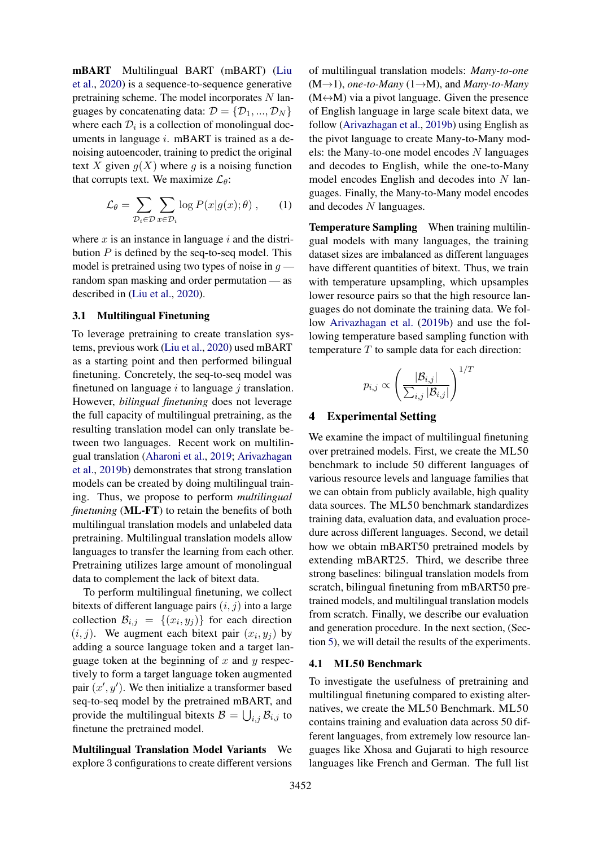mBART Multilingual BART (mBART) [\(Liu](#page-11-1) [et al.,](#page-11-1) [2020\)](#page-11-1) is a sequence-to-sequence generative pretraining scheme. The model incorporates  $N$  languages by concatenating data:  $\mathcal{D} = \{\mathcal{D}_1, ..., \mathcal{D}_N\}$ where each  $\mathcal{D}_i$  is a collection of monolingual documents in language i. mBART is trained as a denoising autoencoder, training to predict the original text X given  $g(X)$  where g is a noising function that corrupts text. We maximize  $\mathcal{L}_{\theta}$ :

$$
\mathcal{L}_{\theta} = \sum_{\mathcal{D}_i \in \mathcal{D}} \sum_{x \in \mathcal{D}_i} \log P(x|g(x); \theta) , \qquad (1)
$$

where x is an instance in language i and the distribution  $P$  is defined by the seq-to-seq model. This model is pretrained using two types of noise in  $g$  random span masking and order permutation — as described in [\(Liu et al.,](#page-11-1) [2020\)](#page-11-1).

#### <span id="page-2-0"></span>3.1 Multilingual Finetuning

To leverage pretraining to create translation systems, previous work [\(Liu et al.,](#page-11-1) [2020\)](#page-11-1) used mBART as a starting point and then performed bilingual finetuning. Concretely, the seq-to-seq model was finetuned on language  $i$  to language  $j$  translation. However, *bilingual finetuning* does not leverage the full capacity of multilingual pretraining, as the resulting translation model can only translate between two languages. Recent work on multilingual translation [\(Aharoni et al.,](#page-8-1) [2019;](#page-8-1) [Arivazhagan](#page-9-2) [et al.,](#page-9-2) [2019b\)](#page-9-2) demonstrates that strong translation models can be created by doing multilingual training. Thus, we propose to perform *multilingual finetuning* (ML-FT) to retain the benefits of both multilingual translation models and unlabeled data pretraining. Multilingual translation models allow languages to transfer the learning from each other. Pretraining utilizes large amount of monolingual data to complement the lack of bitext data.

To perform multilingual finetuning, we collect bitexts of different language pairs  $(i, j)$  into a large collection  $\mathcal{B}_{i,j} = \{(x_i, y_j)\}\$  for each direction  $(i, j)$ . We augment each bitext pair  $(x_i, y_j)$  by adding a source language token and a target language token at the beginning of  $x$  and  $y$  respectively to form a target language token augmented pair  $(x', y')$ . We then initialize a transformer based seq-to-seq model by the pretrained mBART, and provide the multilingual bitexts  $B = \bigcup_{i,j} B_{i,j}$  to finetune the pretrained model.

Multilingual Translation Model Variants We explore 3 configurations to create different versions

of multilingual translation models: *Many-to-one* (M→1), *one-to-Many* (1→M), and *Many-to-Many*  $(M \leftrightarrow M)$  via a pivot language. Given the presence of English language in large scale bitext data, we follow [\(Arivazhagan et al.,](#page-9-2) [2019b\)](#page-9-2) using English as the pivot language to create Many-to-Many models: the Many-to-one model encodes  $N$  languages and decodes to English, while the one-to-Many model encodes English and decodes into  $N$  languages. Finally, the Many-to-Many model encodes and decodes N languages.

Temperature Sampling When training multilingual models with many languages, the training dataset sizes are imbalanced as different languages have different quantities of bitext. Thus, we train with temperature upsampling, which upsamples lower resource pairs so that the high resource languages do not dominate the training data. We follow [Arivazhagan et al.](#page-9-2) [\(2019b\)](#page-9-2) and use the following temperature based sampling function with temperature  $T$  to sample data for each direction:

$$
p_{i,j} \propto \left(\frac{|\mathcal{B}_{i,j}|}{\sum_{i,j} |\mathcal{B}_{i,j}|}\right)^{1/T}
$$

#### 4 Experimental Setting

We examine the impact of multilingual finetuning over pretrained models. First, we create the ML50 benchmark to include 50 different languages of various resource levels and language families that we can obtain from publicly available, high quality data sources. The ML50 benchmark standardizes training data, evaluation data, and evaluation procedure across different languages. Second, we detail how we obtain mBART50 pretrained models by extending mBART25. Third, we describe three strong baselines: bilingual translation models from scratch, bilingual finetuning from mBART50 pretrained models, and multilingual translation models from scratch. Finally, we describe our evaluation and generation procedure. In the next section, (Section [5\)](#page-4-0), we will detail the results of the experiments.

#### 4.1 ML50 Benchmark

To investigate the usefulness of pretraining and multilingual finetuning compared to existing alternatives, we create the ML50 Benchmark. ML50 contains training and evaluation data across 50 different languages, from extremely low resource languages like Xhosa and Gujarati to high resource languages like French and German. The full list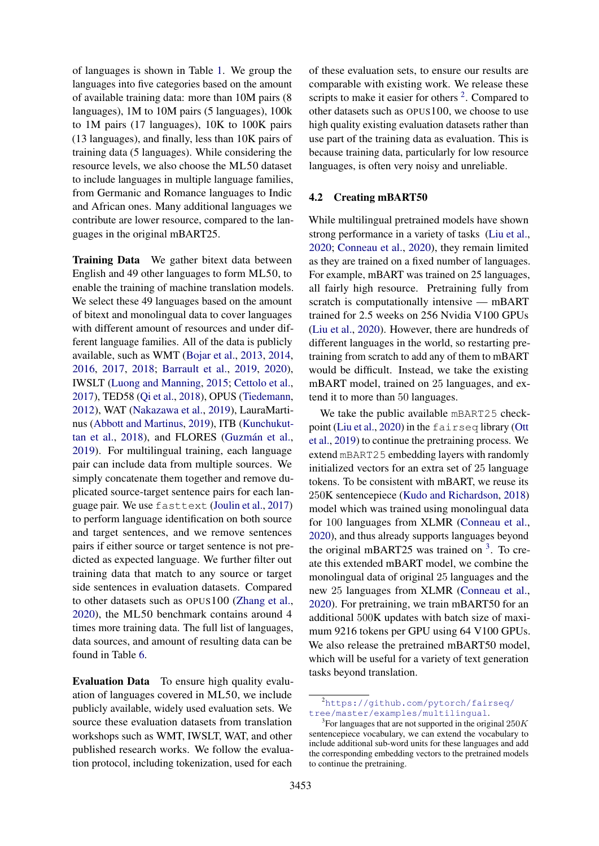of languages is shown in Table [1.](#page-4-1) We group the languages into five categories based on the amount of available training data: more than 10M pairs (8 languages), 1M to 10M pairs (5 languages), 100k to 1M pairs (17 languages), 10K to 100K pairs (13 languages), and finally, less than 10K pairs of training data (5 languages). While considering the resource levels, we also choose the ML50 dataset to include languages in multiple language families, from Germanic and Romance languages to Indic and African ones. Many additional languages we contribute are lower resource, compared to the languages in the original mBART25.

Training Data We gather bitext data between English and 49 other languages to form ML50, to enable the training of machine translation models. We select these 49 languages based on the amount of bitext and monolingual data to cover languages with different amount of resources and under different language families. All of the data is publicly available, such as WMT [\(Bojar et al.,](#page-9-5) [2013,](#page-9-5) [2014,](#page-9-6) [2016,](#page-9-7) [2017,](#page-9-8) [2018;](#page-9-9) [Barrault et al.,](#page-9-10) [2019,](#page-9-10) [2020\)](#page-9-11), IWSLT [\(Luong and Manning,](#page-11-14) [2015;](#page-11-14) [Cettolo et al.,](#page-9-12) [2017\)](#page-9-12), TED58 [\(Qi et al.,](#page-11-15) [2018\)](#page-11-15), OPUS [\(Tiedemann,](#page-12-3) [2012\)](#page-12-3), WAT [\(Nakazawa et al.,](#page-11-16) [2019\)](#page-11-16), LauraMartinus [\(Abbott and Martinus,](#page-8-2) [2019\)](#page-8-2), ITB [\(Kunchukut](#page-10-12)[tan et al.,](#page-10-12) [2018\)](#page-10-12), and FLORES (Guzmán et al., [2019\)](#page-10-13). For multilingual training, each language pair can include data from multiple sources. We simply concatenate them together and remove duplicated source-target sentence pairs for each language pair. We use fasttext [\(Joulin et al.,](#page-10-14) [2017\)](#page-10-14) to perform language identification on both source and target sentences, and we remove sentences pairs if either source or target sentence is not predicted as expected language. We further filter out training data that match to any source or target side sentences in evaluation datasets. Compared to other datasets such as OPUS100 [\(Zhang et al.,](#page-12-2) [2020\)](#page-12-2), the ML50 benchmark contains around 4 times more training data. The full list of languages, data sources, and amount of resulting data can be found in Table [6.](#page-14-0)

Evaluation Data To ensure high quality evaluation of languages covered in ML50, we include publicly available, widely used evaluation sets. We source these evaluation datasets from translation workshops such as WMT, IWSLT, WAT, and other published research works. We follow the evaluation protocol, including tokenization, used for each

of these evaluation sets, to ensure our results are comparable with existing work. We release these scripts to make it easier for others  $2$ . Compared to other datasets such as OPUS100, we choose to use high quality existing evaluation datasets rather than use part of the training data as evaluation. This is because training data, particularly for low resource languages, is often very noisy and unreliable.

#### 4.2 Creating mBART50

While multilingual pretrained models have shown strong performance in a variety of tasks [\(Liu et al.,](#page-11-1) [2020;](#page-11-1) [Conneau et al.,](#page-9-0) [2020\)](#page-9-0), they remain limited as they are trained on a fixed number of languages. For example, mBART was trained on 25 languages, all fairly high resource. Pretraining fully from scratch is computationally intensive — mBART trained for 2.5 weeks on 256 Nvidia V100 GPUs [\(Liu et al.,](#page-11-1) [2020\)](#page-11-1). However, there are hundreds of different languages in the world, so restarting pretraining from scratch to add any of them to mBART would be difficult. Instead, we take the existing mBART model, trained on 25 languages, and extend it to more than 50 languages.

We take the public available mBART25 checkpoint [\(Liu et al.,](#page-11-1) [2020\)](#page-11-1) in the fairseq library [\(Ott](#page-11-17) [et al.,](#page-11-17) [2019\)](#page-11-17) to continue the pretraining process. We extend mBART25 embedding layers with randomly initialized vectors for an extra set of 25 language tokens. To be consistent with mBART, we reuse its 250K sentencepiece [\(Kudo and Richardson,](#page-10-15) [2018\)](#page-10-15) model which was trained using monolingual data for 100 languages from XLMR [\(Conneau et al.,](#page-9-0) [2020\)](#page-9-0), and thus already supports languages beyond the original mBART25 was trained on  $3$ . To create this extended mBART model, we combine the monolingual data of original 25 languages and the new 25 languages from XLMR [\(Conneau et al.,](#page-9-0) [2020\)](#page-9-0). For pretraining, we train mBART50 for an additional 500K updates with batch size of maximum 9216 tokens per GPU using 64 V100 GPUs. We also release the pretrained mBART50 model, which will be useful for a variety of text generation tasks beyond translation.

<span id="page-3-0"></span><sup>2</sup>[https://github.com/pytorch/fairseq/](https://github.com/pytorch/fairseq/tree/master/examples/multilingual) [tree/master/examples/multilingual](https://github.com/pytorch/fairseq/tree/master/examples/multilingual).

<span id="page-3-1"></span><sup>&</sup>lt;sup>3</sup> For languages that are not supported in the original  $250K$ sentencepiece vocabulary, we can extend the vocabulary to include additional sub-word units for these languages and add the corresponding embedding vectors to the pretrained models to continue the pretraining.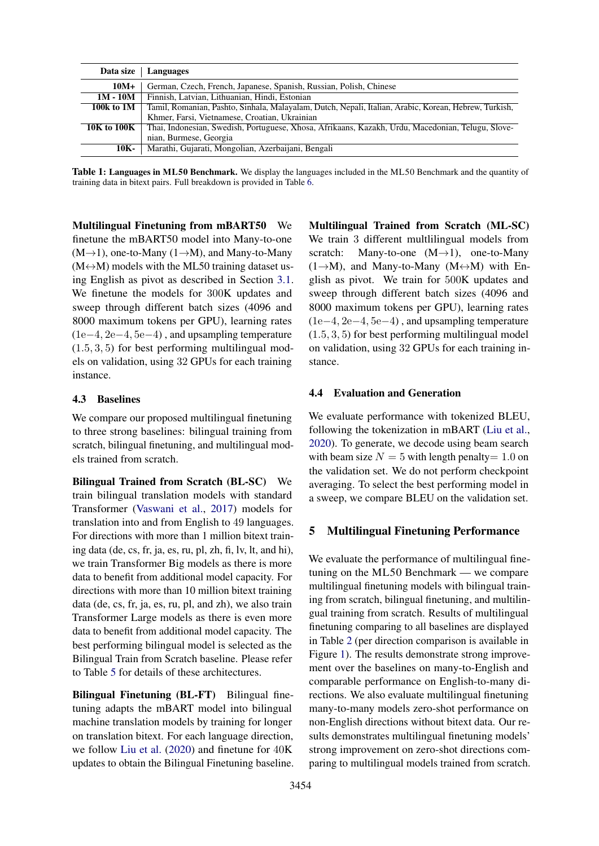<span id="page-4-1"></span>

| Data size   | Languages                                                                                             |
|-------------|-------------------------------------------------------------------------------------------------------|
| 10M+        | German, Czech, French, Japanese, Spanish, Russian, Polish, Chinese                                    |
| $1M - 10M$  | Finnish, Latvian, Lithuanian, Hindi, Estonian                                                         |
| 100k to 1M  | Tamil, Romanian, Pashto, Sinhala, Malayalam, Dutch, Nepali, Italian, Arabic, Korean, Hebrew, Turkish, |
|             | Khmer, Farsi, Vietnamese, Croatian, Ukrainian                                                         |
| 10K to 100K | Thai, Indonesian, Swedish, Portuguese, Xhosa, Afrikaans, Kazakh, Urdu, Macedonian, Telugu, Slove-     |
|             | nian, Burmese, Georgia                                                                                |
| 10K-        | Marathi, Gujarati, Mongolian, Azerbaijani, Bengali                                                    |

Table 1: Languages in ML50 Benchmark. We display the languages included in the ML50 Benchmark and the quantity of training data in bitext pairs. Full breakdown is provided in Table [6.](#page-14-0)

Multilingual Finetuning from mBART50 We finetune the mBART50 model into Many-to-one  $(M\rightarrow 1)$ , one-to-Many  $(1\rightarrow M)$ , and Many-to-Many  $(M \leftrightarrow M)$  models with the ML50 training dataset using English as pivot as described in Section [3.1.](#page-2-0) We finetune the models for 300K updates and sweep through different batch sizes (4096 and 8000 maximum tokens per GPU), learning rates (1e−4, 2e−4, 5e−4) , and upsampling temperature (1.5, 3, 5) for best performing multilingual models on validation, using 32 GPUs for each training instance.

#### 4.3 Baselines

We compare our proposed multilingual finetuning to three strong baselines: bilingual training from scratch, bilingual finetuning, and multilingual models trained from scratch.

Bilingual Trained from Scratch (BL-SC) We train bilingual translation models with standard Transformer [\(Vaswani et al.,](#page-12-4) [2017\)](#page-12-4) models for translation into and from English to 49 languages. For directions with more than 1 million bitext training data (de, cs, fr, ja, es, ru, pl, zh, fi, lv, lt, and hi), we train Transformer Big models as there is more data to benefit from additional model capacity. For directions with more than 10 million bitext training data (de, cs, fr, ja, es, ru, pl, and zh), we also train Transformer Large models as there is even more data to benefit from additional model capacity. The best performing bilingual model is selected as the Bilingual Train from Scratch baseline. Please refer to Table [5](#page-13-0) for details of these architectures.

Bilingual Finetuning (BL-FT) Bilingual finetuning adapts the mBART model into bilingual machine translation models by training for longer on translation bitext. For each language direction, we follow [Liu et al.](#page-11-1) [\(2020\)](#page-11-1) and finetune for 40K updates to obtain the Bilingual Finetuning baseline.

Multilingual Trained from Scratch (ML-SC) We train 3 different multlilingual models from scratch: Many-to-one  $(M\rightarrow 1)$ , one-to-Many  $(1 \rightarrow M)$ , and Many-to-Many  $(M \leftrightarrow M)$  with English as pivot. We train for 500K updates and sweep through different batch sizes (4096 and 8000 maximum tokens per GPU), learning rates (1e−4, 2e−4, 5e−4) , and upsampling temperature (1.5, 3, 5) for best performing multilingual model on validation, using 32 GPUs for each training instance.

### 4.4 Evaluation and Generation

We evaluate performance with tokenized BLEU, following the tokenization in mBART [\(Liu et al.,](#page-11-1) [2020\)](#page-11-1). To generate, we decode using beam search with beam size  $N = 5$  with length penalty = 1.0 on the validation set. We do not perform checkpoint averaging. To select the best performing model in a sweep, we compare BLEU on the validation set.

#### <span id="page-4-0"></span>5 Multilingual Finetuning Performance

We evaluate the performance of multilingual finetuning on the ML50 Benchmark — we compare multilingual finetuning models with bilingual training from scratch, bilingual finetuning, and multilingual training from scratch. Results of multilingual finetuning comparing to all baselines are displayed in Table [2](#page-5-0) (per direction comparison is available in Figure [1\)](#page-6-0). The results demonstrate strong improvement over the baselines on many-to-English and comparable performance on English-to-many directions. We also evaluate multilingual finetuning many-to-many models zero-shot performance on non-English directions without bitext data. Our results demonstrates multilingual finetuning models' strong improvement on zero-shot directions comparing to multilingual models trained from scratch.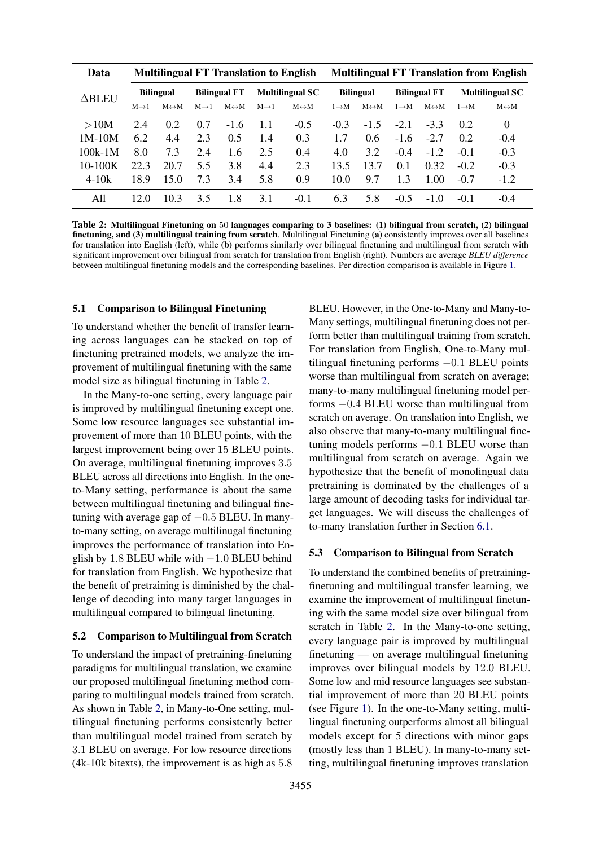<span id="page-5-0"></span>

| Data          | <b>Multilingual FT Translation to English</b> |                       |                     |                       |                        |                       |                   | <b>Multilingual FT Translation from English</b> |                     |                       |                        |                       |
|---------------|-----------------------------------------------|-----------------------|---------------------|-----------------------|------------------------|-----------------------|-------------------|-------------------------------------------------|---------------------|-----------------------|------------------------|-----------------------|
| $\Delta$ BLEU | <b>Bilingual</b>                              |                       | <b>Bilingual FT</b> |                       | <b>Multilingual SC</b> |                       | <b>Bilingual</b>  |                                                 | <b>Bilingual FT</b> |                       | <b>Multilingual SC</b> |                       |
|               | $M\rightarrow 1$                              | $M \leftrightarrow M$ | $M\rightarrow 1$    | $M \leftrightarrow M$ | $M\rightarrow 1$       | $M \leftrightarrow M$ | $1 \rightarrow M$ | $M \leftrightarrow M$                           | $1 \rightarrow M$   | $M \leftrightarrow M$ | $1 \rightarrow M$      | $M \leftrightarrow M$ |
| >10M          | 2.4                                           | 0.2                   | 0.7                 | $-1.6$                | 1.1                    | $-0.5$                | $-0.3$            | $-1.5$                                          | $-2.1$              | $-3.3$                | 0.2                    | $\theta$              |
| $1M-10M$      | 6.2                                           | 4.4                   | 2.3                 | 0.5                   | 1.4                    | 0.3                   | 1.7               | $0.6^{\circ}$                                   | $-1.6$              | $-2.7$                | 0.2                    | $-0.4$                |
| $100k-1M$     | 8.0                                           | 7.3                   | 2.4                 | 1.6                   | 2.5                    | 0.4                   | 4.0               | 3.2                                             | $-0.4$              | $-1.2$                | $-0.1$                 | $-0.3$                |
| $10-100K$     | 22.3                                          | 20.7                  | 5.5                 | 3.8                   | 4.4                    | 2.3                   | 13.5              | 13.7                                            | 0.1                 | 0.32                  | $-0.2$                 | $-0.3$                |
| $4 - 10k$     | 18.9                                          | 15.0                  | 7.3                 | 3.4                   | 5.8                    | 0.9                   | 10.0              | 9.7                                             | 1.3                 | 1.00                  | $-0.7$                 | $-1.2$                |
| A11           | 12.0                                          | 10.3                  | 3.5                 | 1.8                   | 3.1                    | $-0.1$                | 6.3               | 5.8                                             | $-0.5$              | $-1.0$                | $-0.1$                 | $-0.4$                |

Table 2: Multilingual Finetuning on 50 languages comparing to 3 baselines: (1) bilingual from scratch, (2) bilingual finetuning, and (3) multilingual training from scratch. Multilingual Finetuning (a) consistently improves over all baselines for translation into English (left), while (b) performs similarly over bilingual finetuning and multilingual from scratch with significant improvement over bilingual from scratch for translation from English (right). Numbers are average *BLEU difference* between multilingual finetuning models and the corresponding baselines. Per direction comparison is available in Figure [1.](#page-6-0)

#### 5.1 Comparison to Bilingual Finetuning

To understand whether the benefit of transfer learning across languages can be stacked on top of finetuning pretrained models, we analyze the improvement of multilingual finetuning with the same model size as bilingual finetuning in Table [2.](#page-5-0)

In the Many-to-one setting, every language pair is improved by multilingual finetuning except one. Some low resource languages see substantial improvement of more than 10 BLEU points, with the largest improvement being over 15 BLEU points. On average, multilingual finetuning improves 3.5 BLEU across all directions into English. In the oneto-Many setting, performance is about the same between multilingual finetuning and bilingual finetuning with average gap of  $-0.5$  BLEU. In manyto-many setting, on average multilinugal finetuning improves the performance of translation into English by 1.8 BLEU while with  $-1.0$  BLEU behind for translation from English. We hypothesize that the benefit of pretraining is diminished by the challenge of decoding into many target languages in multilingual compared to bilingual finetuning.

#### 5.2 Comparison to Multilingual from Scratch

To understand the impact of pretraining-finetuning paradigms for multilingual translation, we examine our proposed multilingual finetuning method comparing to multilingual models trained from scratch. As shown in Table [2,](#page-5-0) in Many-to-One setting, multilingual finetuning performs consistently better than multilingual model trained from scratch by 3.1 BLEU on average. For low resource directions (4k-10k bitexts), the improvement is as high as 5.8

BLEU. However, in the One-to-Many and Many-to-Many settings, multilingual finetuning does not perform better than multilingual training from scratch. For translation from English, One-to-Many multilingual finetuning performs −0.1 BLEU points worse than multilingual from scratch on average; many-to-many multilingual finetuning model performs −0.4 BLEU worse than multilingual from scratch on average. On translation into English, we also observe that many-to-many multilingual finetuning models performs −0.1 BLEU worse than multilingual from scratch on average. Again we hypothesize that the benefit of monolingual data pretraining is dominated by the challenges of a large amount of decoding tasks for individual target languages. We will discuss the challenges of to-many translation further in Section [6.1.](#page-7-0)

#### 5.3 Comparison to Bilingual from Scratch

To understand the combined benefits of pretrainingfinetuning and multilingual transfer learning, we examine the improvement of multilingual finetuning with the same model size over bilingual from scratch in Table [2.](#page-5-0) In the Many-to-one setting, every language pair is improved by multilingual finetuning — on average multilingual finetuning improves over bilingual models by 12.0 BLEU. Some low and mid resource languages see substantial improvement of more than 20 BLEU points (see Figure [1\)](#page-6-0). In the one-to-Many setting, multilingual finetuning outperforms almost all bilingual models except for 5 directions with minor gaps (mostly less than 1 BLEU). In many-to-many setting, multilingual finetuning improves translation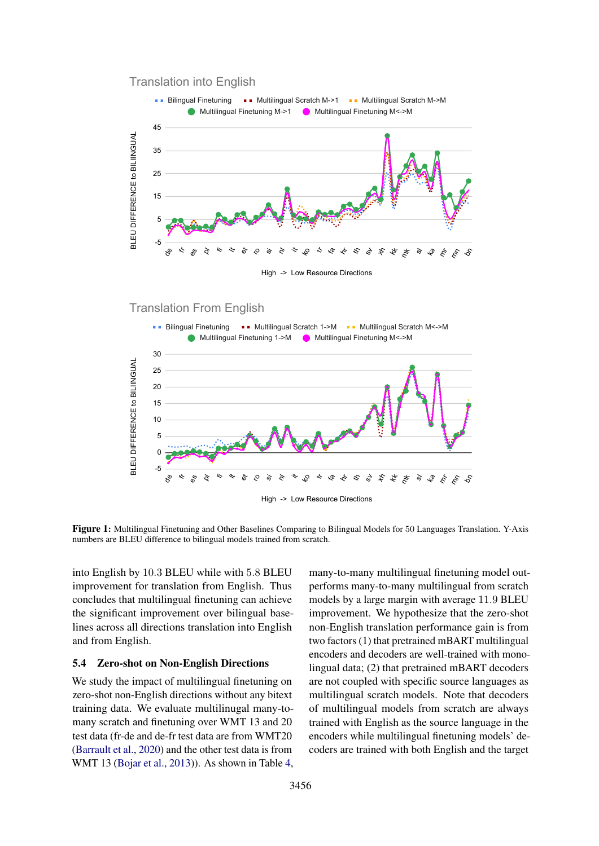<span id="page-6-0"></span>



High -> Low Resource Directions

### Translation From English



Figure 1: Multilingual Finetuning and Other Baselines Comparing to Bilingual Models for 50 Languages Translation. Y-Axis numbers are BLEU difference to bilingual models trained from scratch.

into English by 10.3 BLEU while with 5.8 BLEU improvement for translation from English. Thus concludes that multilingual finetuning can achieve the significant improvement over bilingual baselines across all directions translation into English and from English.

#### 5.4 Zero-shot on Non-English Directions

We study the impact of multilingual finetuning on zero-shot non-English directions without any bitext training data. We evaluate multilinugal many-tomany scratch and finetuning over WMT 13 and 20 test data (fr-de and de-fr test data are from WMT20 [\(Barrault et al.,](#page-9-11) [2020\)](#page-9-11) and the other test data is from WMT 13 [\(Bojar et al.,](#page-9-5) [2013\)](#page-9-5)). As shown in Table [4,](#page-7-1) many-to-many multilingual finetuning model outperforms many-to-many multilingual from scratch models by a large margin with average 11.9 BLEU improvement. We hypothesize that the zero-shot non-English translation performance gain is from two factors (1) that pretrained mBART multilingual encoders and decoders are well-trained with monolingual data; (2) that pretrained mBART decoders are not coupled with specific source languages as multilingual scratch models. Note that decoders of multilingual models from scratch are always trained with English as the source language in the encoders while multilingual finetuning models' decoders are trained with both English and the target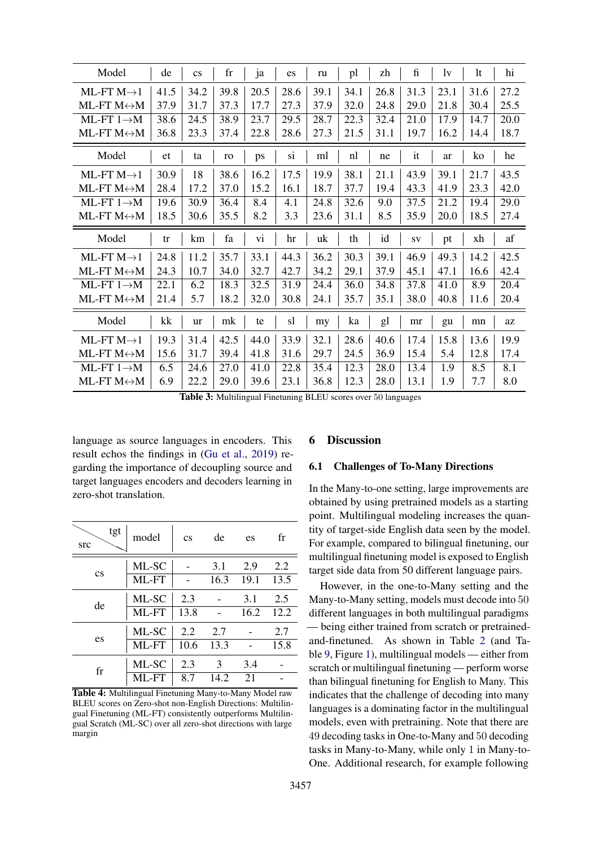| Model                       | de   | $\mathbf{c}\mathbf{s}$ | $_{\rm fr}$ | ja   | es   | ru   | pl   | zh   | $\mathbf f$ | 1v   | <sup>1</sup> t | hi   |
|-----------------------------|------|------------------------|-------------|------|------|------|------|------|-------------|------|----------------|------|
| ML-FT $M\rightarrow 1$      | 41.5 | 34.2                   | 39.8        | 20.5 | 28.6 | 39.1 | 34.1 | 26.8 | 31.3        | 23.1 | 31.6           | 27.2 |
| ML-FT $M \leftrightarrow M$ | 37.9 | 31.7                   | 37.3        | 17.7 | 27.3 | 37.9 | 32.0 | 24.8 | 29.0        | 21.8 | 30.4           | 25.5 |
| ML-FT $1 \rightarrow M$     | 38.6 | 24.5                   | 38.9        | 23.7 | 29.5 | 28.7 | 22.3 | 32.4 | 21.0        | 17.9 | 14.7           | 20.0 |
| ML-FT $M \leftrightarrow M$ | 36.8 | 23.3                   | 37.4        | 22.8 | 28.6 | 27.3 | 21.5 | 31.1 | 19.7        | 16.2 | 14.4           | 18.7 |
| Model                       | et   | ta                     | ro          | ps   | si   | ml   | nl   | ne   | it          | ar   | ko             | he   |
| ML-FT $M\rightarrow 1$      | 30.9 | 18                     | 38.6        | 16.2 | 17.5 | 19.9 | 38.1 | 21.1 | 43.9        | 39.1 | 21.7           | 43.5 |
| ML-FT $M \leftrightarrow M$ | 28.4 | 17.2                   | 37.0        | 15.2 | 16.1 | 18.7 | 37.7 | 19.4 | 43.3        | 41.9 | 23.3           | 42.0 |
| ML-FT $1 \rightarrow M$     | 19.6 | 30.9                   | 36.4        | 8.4  | 4.1  | 24.8 | 32.6 | 9.0  | 37.5        | 21.2 | 19.4           | 29.0 |
| ML-FT $M \leftrightarrow M$ | 18.5 | 30.6                   | 35.5        | 8.2  | 3.3  | 23.6 | 31.1 | 8.5  | 35.9        | 20.0 | 18.5           | 27.4 |
| Model                       | tr   | km                     | fa          | vi   | hr   | uk   | th   | id   | SV          |      |                | af   |
|                             |      |                        |             |      |      |      |      |      |             | pt   | xh             |      |
| ML-FT $M\rightarrow 1$      | 24.8 | 11.2                   | 35.7        | 33.1 | 44.3 | 36.2 | 30.3 | 39.1 | 46.9        | 49.3 | 14.2           | 42.5 |
| ML-FT $M \leftrightarrow M$ | 24.3 | 10.7                   | 34.0        | 32.7 | 42.7 | 34.2 | 29.1 | 37.9 | 45.1        | 47.1 | 16.6           | 42.4 |
| ML-FT $1 \rightarrow M$     | 22.1 | 6.2                    | 18.3        | 32.5 | 31.9 | 24.4 | 36.0 | 34.8 | 37.8        | 41.0 | 8.9            | 20.4 |
| ML-FT $M \leftrightarrow M$ | 21.4 | 5.7                    | 18.2        | 32.0 | 30.8 | 24.1 | 35.7 | 35.1 | 38.0        | 40.8 | 11.6           | 20.4 |
| Model                       | kk   | <b>ur</b>              | mk          | te   | sl   | my   | ka   | gl   | mr          | gu   | mn             | az   |
| ML-FT $M\rightarrow 1$      | 19.3 | 31.4                   | 42.5        | 44.0 | 33.9 | 32.1 | 28.6 | 40.6 | 17.4        | 15.8 | 13.6           | 19.9 |
| ML-FT $M \leftrightarrow M$ | 15.6 | 31.7                   | 39.4        | 41.8 | 31.6 | 29.7 | 24.5 | 36.9 | 15.4        | 5.4  | 12.8           | 17.4 |
| ML-FT $1 \rightarrow M$     | 6.5  | 24.6                   | 27.0        | 41.0 | 22.8 | 35.4 | 12.3 | 28.0 | 13.4        | 1.9  | 8.5            | 8.1  |

Table 3: Multilingual Finetuning BLEU scores over 50 languages

language as source languages in encoders. This result echos the findings in (Gu et al., 2019) regarding the importance of decoupling source and target languages encoders and decoders learning in zero-shot translation.

<span id="page-7-1"></span>

| tgt<br>src             | model | $\mathbf{c}\mathbf{s}$ | de   | es   | fr   |
|------------------------|-------|------------------------|------|------|------|
|                        | ML-SC |                        | 3.1  | 2.9  | 2.2  |
| $\mathbf{c}\mathbf{s}$ | ML-FT |                        | 16.3 | 19.1 | 13.5 |
| de                     | ML-SC | 2.3                    |      | 3.1  | 2.5  |
|                        | ML-FT | 13.8                   |      | 16.2 | 12.2 |
|                        | ML-SC | 2.2                    | 2.7  |      | 2.7  |
| es                     | ML-FT | 10.6                   | 13.3 |      | 15.8 |
| fr                     | ML-SC | 2.3                    | 3    | 3.4  |      |
|                        | ML-FT | 8.7                    | 14.2 | 21   |      |

Table 4: Multilingual Finetuning Many-to-Many Model raw BLEU scores on Zero-shot non-English Directions: Multilingual Finetuning (ML-FT) consistently outperforms Multilingual Scratch (ML-SC) over all zero-shot directions with large margin

#### **Discussion** 6

#### <span id="page-7-0"></span>**Challenges of To-Many Directions**  $6.1$

In the Many-to-one setting, large improvements are obtained by using pretrained models as a starting point. Multilingual modeling increases the quantity of target-side English data seen by the model. For example, compared to bilingual finetuning, our multilingual finetuning model is exposed to English target side data from 50 different language pairs.

However, in the one-to-Many setting and the Many-to-Many setting, models must decode into 50 different languages in both multilingual paradigms - being either trained from scratch or pretrainedand-finetuned. As shown in Table 2 (and Table 9, Figure 1), multilingual models — either from scratch or multilingual finetuning — perform worse than bilingual finetuning for English to Many. This indicates that the challenge of decoding into many languages is a dominating factor in the multilingual models, even with pretraining. Note that there are 49 decoding tasks in One-to-Many and 50 decoding tasks in Many-to-Many, while only 1 in Many-to-One. Additional research, for example following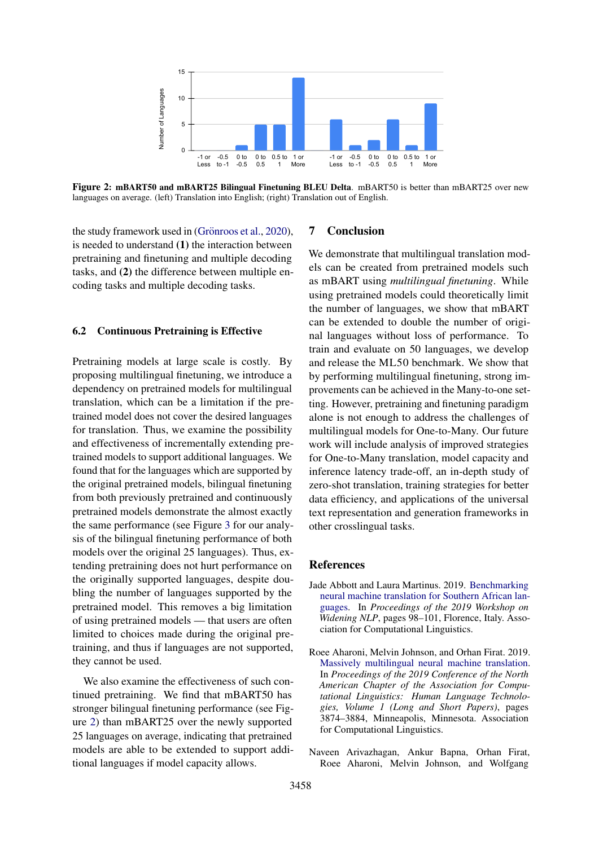<span id="page-8-3"></span>

Figure 2: mBART50 and mBART25 Bilingual Finetuning BLEU Delta. mBART50 is better than mBART25 over new languages on average. (left) Translation into English; (right) Translation out of English.

the study framework used in (Grönroos et al., [2020\)](#page-10-16), is needed to understand (1) the interaction between pretraining and finetuning and multiple decoding tasks, and (2) the difference between multiple encoding tasks and multiple decoding tasks.

#### 6.2 Continuous Pretraining is Effective

Pretraining models at large scale is costly. By proposing multilingual finetuning, we introduce a dependency on pretrained models for multilingual translation, which can be a limitation if the pretrained model does not cover the desired languages for translation. Thus, we examine the possibility and effectiveness of incrementally extending pretrained models to support additional languages. We found that for the languages which are supported by the original pretrained models, bilingual finetuning from both previously pretrained and continuously pretrained models demonstrate the almost exactly the same performance (see Figure [3](#page-13-1) for our analysis of the bilingual finetuning performance of both models over the original 25 languages). Thus, extending pretraining does not hurt performance on the originally supported languages, despite doubling the number of languages supported by the pretrained model. This removes a big limitation of using pretrained models — that users are often limited to choices made during the original pretraining, and thus if languages are not supported, they cannot be used.

We also examine the effectiveness of such continued pretraining. We find that mBART50 has stronger bilingual finetuning performance (see Figure [2\)](#page-8-3) than mBART25 over the newly supported 25 languages on average, indicating that pretrained models are able to be extended to support additional languages if model capacity allows.

#### 7 Conclusion

We demonstrate that multilingual translation models can be created from pretrained models such as mBART using *multilingual finetuning*. While using pretrained models could theoretically limit the number of languages, we show that mBART can be extended to double the number of original languages without loss of performance. To train and evaluate on 50 languages, we develop and release the ML50 benchmark. We show that by performing multilingual finetuning, strong improvements can be achieved in the Many-to-one setting. However, pretraining and finetuning paradigm alone is not enough to address the challenges of multilingual models for One-to-Many. Our future work will include analysis of improved strategies for One-to-Many translation, model capacity and inference latency trade-off, an in-depth study of zero-shot translation, training strategies for better data efficiency, and applications of the universal text representation and generation frameworks in other crosslingual tasks.

#### References

- <span id="page-8-2"></span>Jade Abbott and Laura Martinus. 2019. [Benchmarking](https://www.aclweb.org/anthology/W19-3632) [neural machine translation for Southern African lan](https://www.aclweb.org/anthology/W19-3632)[guages.](https://www.aclweb.org/anthology/W19-3632) In *Proceedings of the 2019 Workshop on Widening NLP*, pages 98–101, Florence, Italy. Association for Computational Linguistics.
- <span id="page-8-1"></span>Roee Aharoni, Melvin Johnson, and Orhan Firat. 2019. [Massively multilingual neural machine translation.](https://doi.org/10.18653/v1/N19-1388) In *Proceedings of the 2019 Conference of the North American Chapter of the Association for Computational Linguistics: Human Language Technologies, Volume 1 (Long and Short Papers)*, pages 3874–3884, Minneapolis, Minnesota. Association for Computational Linguistics.
- <span id="page-8-0"></span>Naveen Arivazhagan, Ankur Bapna, Orhan Firat, Roee Aharoni, Melvin Johnson, and Wolfgang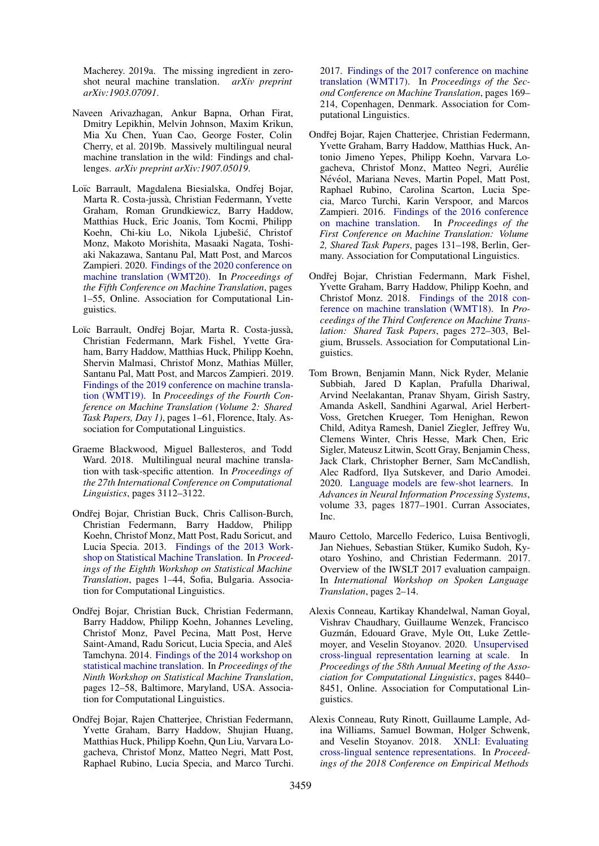Macherey. 2019a. The missing ingredient in zeroshot neural machine translation. *arXiv preprint arXiv:1903.07091*.

- <span id="page-9-2"></span>Naveen Arivazhagan, Ankur Bapna, Orhan Firat, Dmitry Lepikhin, Melvin Johnson, Maxim Krikun, Mia Xu Chen, Yuan Cao, George Foster, Colin Cherry, et al. 2019b. Massively multilingual neural machine translation in the wild: Findings and challenges. *arXiv preprint arXiv:1907.05019*.
- <span id="page-9-11"></span>Loïc Barrault, Magdalena Biesialska, Ondřej Bojar, Marta R. Costa-jussa, Christian Federmann, Yvette ` Graham, Roman Grundkiewicz, Barry Haddow, Matthias Huck, Eric Joanis, Tom Kocmi, Philipp Koehn, Chi-kiu Lo, Nikola Ljubešić, Christof Monz, Makoto Morishita, Masaaki Nagata, Toshiaki Nakazawa, Santanu Pal, Matt Post, and Marcos Zampieri. 2020. [Findings of the 2020 conference on](https://www.aclweb.org/anthology/2020.wmt-1.1) [machine translation \(WMT20\).](https://www.aclweb.org/anthology/2020.wmt-1.1) In *Proceedings of the Fifth Conference on Machine Translation*, pages 1–55, Online. Association for Computational Linguistics.
- <span id="page-9-10"></span>Loïc Barrault, Ondřej Bojar, Marta R. Costa-jussà, Christian Federmann, Mark Fishel, Yvette Graham, Barry Haddow, Matthias Huck, Philipp Koehn, Shervin Malmasi, Christof Monz, Mathias Müller, Santanu Pal, Matt Post, and Marcos Zampieri. 2019. [Findings of the 2019 conference on machine transla](https://doi.org/10.18653/v1/W19-5301)[tion \(WMT19\).](https://doi.org/10.18653/v1/W19-5301) In *Proceedings of the Fourth Conference on Machine Translation (Volume 2: Shared Task Papers, Day 1)*, pages 1–61, Florence, Italy. Association for Computational Linguistics.
- <span id="page-9-3"></span>Graeme Blackwood, Miguel Ballesteros, and Todd Ward. 2018. Multilingual neural machine translation with task-specific attention. In *Proceedings of the 27th International Conference on Computational Linguistics*, pages 3112–3122.
- <span id="page-9-5"></span>Ondřej Bojar, Christian Buck, Chris Callison-Burch, Christian Federmann, Barry Haddow, Philipp Koehn, Christof Monz, Matt Post, Radu Soricut, and Lucia Specia. 2013. [Findings of the 2013 Work](https://www.aclweb.org/anthology/W13-2201)[shop on Statistical Machine Translation.](https://www.aclweb.org/anthology/W13-2201) In *Proceedings of the Eighth Workshop on Statistical Machine Translation*, pages 1–44, Sofia, Bulgaria. Association for Computational Linguistics.
- <span id="page-9-6"></span>Ondřej Bojar, Christian Buck, Christian Federmann, Barry Haddow, Philipp Koehn, Johannes Leveling, Christof Monz, Pavel Pecina, Matt Post, Herve Saint-Amand, Radu Soricut, Lucia Specia, and Aleš Tamchyna. 2014. [Findings of the 2014 workshop on](https://doi.org/10.3115/v1/W14-3302) [statistical machine translation.](https://doi.org/10.3115/v1/W14-3302) In *Proceedings of the Ninth Workshop on Statistical Machine Translation*, pages 12–58, Baltimore, Maryland, USA. Association for Computational Linguistics.
- <span id="page-9-8"></span>Ondřej Bojar, Rajen Chatterjee, Christian Federmann, Yvette Graham, Barry Haddow, Shujian Huang, Matthias Huck, Philipp Koehn, Qun Liu, Varvara Logacheva, Christof Monz, Matteo Negri, Matt Post, Raphael Rubino, Lucia Specia, and Marco Turchi.

2017. [Findings of the 2017 conference on machine](https://doi.org/10.18653/v1/W17-4717) [translation \(WMT17\).](https://doi.org/10.18653/v1/W17-4717) In *Proceedings of the Second Conference on Machine Translation*, pages 169– 214, Copenhagen, Denmark. Association for Computational Linguistics.

- <span id="page-9-7"></span>Ondřej Bojar, Rajen Chatterjee, Christian Federmann, Yvette Graham, Barry Haddow, Matthias Huck, Antonio Jimeno Yepes, Philipp Koehn, Varvara Logacheva, Christof Monz, Matteo Negri, Aurelie ´ Névéol, Mariana Neves, Martin Popel, Matt Post, Raphael Rubino, Carolina Scarton, Lucia Specia, Marco Turchi, Karin Verspoor, and Marcos Zampieri. 2016. [Findings of the 2016 conference](https://doi.org/10.18653/v1/W16-2301) [on machine translation.](https://doi.org/10.18653/v1/W16-2301) In *Proceedings of the First Conference on Machine Translation: Volume 2, Shared Task Papers*, pages 131–198, Berlin, Germany. Association for Computational Linguistics.
- <span id="page-9-9"></span>Ondřej Bojar, Christian Federmann, Mark Fishel, Yvette Graham, Barry Haddow, Philipp Koehn, and Christof Monz. 2018. [Findings of the 2018 con](https://doi.org/10.18653/v1/W18-6401)[ference on machine translation \(WMT18\).](https://doi.org/10.18653/v1/W18-6401) In *Proceedings of the Third Conference on Machine Translation: Shared Task Papers*, pages 272–303, Belgium, Brussels. Association for Computational Linguistics.
- <span id="page-9-1"></span>Tom Brown, Benjamin Mann, Nick Ryder, Melanie Subbiah, Jared D Kaplan, Prafulla Dhariwal, Arvind Neelakantan, Pranav Shyam, Girish Sastry, Amanda Askell, Sandhini Agarwal, Ariel Herbert-Voss, Gretchen Krueger, Tom Henighan, Rewon Child, Aditya Ramesh, Daniel Ziegler, Jeffrey Wu, Clemens Winter, Chris Hesse, Mark Chen, Eric Sigler, Mateusz Litwin, Scott Gray, Benjamin Chess, Jack Clark, Christopher Berner, Sam McCandlish, Alec Radford, Ilya Sutskever, and Dario Amodei. 2020. [Language models are few-shot learners.](https://proceedings.neurips.cc/paper/2020/file/1457c0d6bfcb4967418bfb8ac142f64a-Paper.pdf) In *Advances in Neural Information Processing Systems*, volume 33, pages 1877–1901. Curran Associates, Inc.
- <span id="page-9-12"></span>Mauro Cettolo, Marcello Federico, Luisa Bentivogli, Jan Niehues, Sebastian Stüker, Kumiko Sudoh, Kyotaro Yoshino, and Christian Federmann. 2017. Overview of the IWSLT 2017 evaluation campaign. In *International Workshop on Spoken Language Translation*, pages 2–14.
- <span id="page-9-0"></span>Alexis Conneau, Kartikay Khandelwal, Naman Goyal, Vishrav Chaudhary, Guillaume Wenzek, Francisco Guzman, Edouard Grave, Myle Ott, Luke Zettle- ´ moyer, and Veselin Stoyanov. 2020. [Unsupervised](https://doi.org/10.18653/v1/2020.acl-main.747) [cross-lingual representation learning at scale.](https://doi.org/10.18653/v1/2020.acl-main.747) In *Proceedings of the 58th Annual Meeting of the Association for Computational Linguistics*, pages 8440– 8451, Online. Association for Computational Linguistics.
- <span id="page-9-4"></span>Alexis Conneau, Ruty Rinott, Guillaume Lample, Adina Williams, Samuel Bowman, Holger Schwenk, and Veselin Stoyanov. 2018. [XNLI: Evaluating](https://doi.org/10.18653/v1/D18-1269) [cross-lingual sentence representations.](https://doi.org/10.18653/v1/D18-1269) In *Proceedings of the 2018 Conference on Empirical Methods*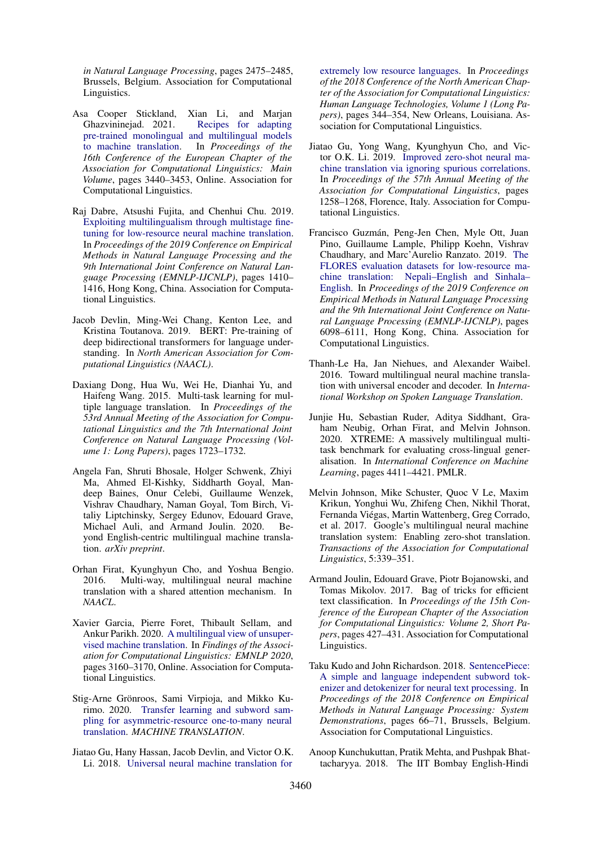*in Natural Language Processing*, pages 2475–2485, Brussels, Belgium. Association for Computational Linguistics.

- <span id="page-10-2"></span>Asa Cooper Stickland, Xian Li, and Marjan Ghazvininejad. 2021. [Recipes for adapting](https://www.aclweb.org/anthology/2021.eacl-main.301) [pre-trained monolingual and multilingual models](https://www.aclweb.org/anthology/2021.eacl-main.301) [to machine translation.](https://www.aclweb.org/anthology/2021.eacl-main.301) In *Proceedings of the 16th Conference of the European Chapter of the Association for Computational Linguistics: Main Volume*, pages 3440–3453, Online. Association for Computational Linguistics.
- <span id="page-10-10"></span>Raj Dabre, Atsushi Fujita, and Chenhui Chu. 2019. [Exploiting multilingualism through multistage fine](https://doi.org/10.18653/v1/D19-1146)[tuning for low-resource neural machine translation.](https://doi.org/10.18653/v1/D19-1146) In *Proceedings of the 2019 Conference on Empirical Methods in Natural Language Processing and the 9th International Joint Conference on Natural Language Processing (EMNLP-IJCNLP)*, pages 1410– 1416, Hong Kong, China. Association for Computational Linguistics.
- <span id="page-10-1"></span>Jacob Devlin, Ming-Wei Chang, Kenton Lee, and Kristina Toutanova. 2019. BERT: Pre-training of deep bidirectional transformers for language understanding. In *North American Association for Computational Linguistics (NAACL)*.
- <span id="page-10-8"></span>Daxiang Dong, Hua Wu, Wei He, Dianhai Yu, and Haifeng Wang. 2015. Multi-task learning for multiple language translation. In *Proceedings of the 53rd Annual Meeting of the Association for Computational Linguistics and the 7th International Joint Conference on Natural Language Processing (Volume 1: Long Papers)*, pages 1723–1732.
- <span id="page-10-0"></span>Angela Fan, Shruti Bhosale, Holger Schwenk, Zhiyi Ma, Ahmed El-Kishky, Siddharth Goyal, Mandeep Baines, Onur Celebi, Guillaume Wenzek, Vishrav Chaudhary, Naman Goyal, Tom Birch, Vitaliy Liptchinsky, Sergey Edunov, Edouard Grave, Michael Auli, and Armand Joulin. 2020. Beyond English-centric multilingual machine translation. *arXiv preprint*.
- <span id="page-10-3"></span>Orhan Firat, Kyunghyun Cho, and Yoshua Bengio. 2016. Multi-way, multilingual neural machine translation with a shared attention mechanism. In *NAACL*.
- <span id="page-10-7"></span>Xavier Garcia, Pierre Foret, Thibault Sellam, and Ankur Parikh. 2020. [A multilingual view of unsuper](https://doi.org/10.18653/v1/2020.findings-emnlp.283)[vised machine translation.](https://doi.org/10.18653/v1/2020.findings-emnlp.283) In *Findings of the Association for Computational Linguistics: EMNLP 2020*, pages 3160–3170, Online. Association for Computational Linguistics.
- <span id="page-10-16"></span>Stig-Arne Grönroos, Sami Virpioja, and Mikko Kurimo. 2020. [Transfer learning and subword sam](https://doi.org/10.1007/s10590-020-09253-x)[pling for asymmetric-resource one-to-many neural](https://doi.org/10.1007/s10590-020-09253-x) [translation.](https://doi.org/10.1007/s10590-020-09253-x) *MACHINE TRANSLATION*.
- <span id="page-10-5"></span>Jiatao Gu, Hany Hassan, Jacob Devlin, and Victor O.K. Li. 2018. [Universal neural machine translation for](https://doi.org/10.18653/v1/N18-1032)

[extremely low resource languages.](https://doi.org/10.18653/v1/N18-1032) In *Proceedings of the 2018 Conference of the North American Chapter of the Association for Computational Linguistics: Human Language Technologies, Volume 1 (Long Papers)*, pages 344–354, New Orleans, Louisiana. Association for Computational Linguistics.

- <span id="page-10-6"></span>Jiatao Gu, Yong Wang, Kyunghyun Cho, and Victor O.K. Li. 2019. [Improved zero-shot neural ma](https://doi.org/10.18653/v1/P19-1121)[chine translation via ignoring spurious correlations.](https://doi.org/10.18653/v1/P19-1121) In *Proceedings of the 57th Annual Meeting of the Association for Computational Linguistics*, pages 1258–1268, Florence, Italy. Association for Computational Linguistics.
- <span id="page-10-13"></span>Francisco Guzman, Peng-Jen Chen, Myle Ott, Juan ´ Pino, Guillaume Lample, Philipp Koehn, Vishrav Chaudhary, and Marc'Aurelio Ranzato. 2019. [The](https://doi.org/10.18653/v1/D19-1632) [FLORES evaluation datasets for low-resource ma](https://doi.org/10.18653/v1/D19-1632)[chine translation: Nepali–English and Sinhala–](https://doi.org/10.18653/v1/D19-1632) [English.](https://doi.org/10.18653/v1/D19-1632) In *Proceedings of the 2019 Conference on Empirical Methods in Natural Language Processing and the 9th International Joint Conference on Natural Language Processing (EMNLP-IJCNLP)*, pages 6098–6111, Hong Kong, China. Association for Computational Linguistics.
- <span id="page-10-9"></span>Thanh-Le Ha, Jan Niehues, and Alexander Waibel. 2016. Toward multilingual neural machine translation with universal encoder and decoder. In *International Workshop on Spoken Language Translation*.
- <span id="page-10-11"></span>Junjie Hu, Sebastian Ruder, Aditya Siddhant, Graham Neubig, Orhan Firat, and Melvin Johnson. 2020. XTREME: A massively multilingual multitask benchmark for evaluating cross-lingual generalisation. In *International Conference on Machine Learning*, pages 4411–4421. PMLR.
- <span id="page-10-4"></span>Melvin Johnson, Mike Schuster, Quoc V Le, Maxim Krikun, Yonghui Wu, Zhifeng Chen, Nikhil Thorat, Fernanda Viegas, Martin Wattenberg, Greg Corrado, ´ et al. 2017. Google's multilingual neural machine translation system: Enabling zero-shot translation. *Transactions of the Association for Computational Linguistics*, 5:339–351.
- <span id="page-10-14"></span>Armand Joulin, Edouard Grave, Piotr Bojanowski, and Tomas Mikolov. 2017. Bag of tricks for efficient text classification. In *Proceedings of the 15th Conference of the European Chapter of the Association for Computational Linguistics: Volume 2, Short Papers*, pages 427–431. Association for Computational Linguistics.
- <span id="page-10-15"></span>Taku Kudo and John Richardson. 2018. [SentencePiece:](https://doi.org/10.18653/v1/D18-2012) [A simple and language independent subword tok](https://doi.org/10.18653/v1/D18-2012)[enizer and detokenizer for neural text processing.](https://doi.org/10.18653/v1/D18-2012) In *Proceedings of the 2018 Conference on Empirical Methods in Natural Language Processing: System Demonstrations*, pages 66–71, Brussels, Belgium. Association for Computational Linguistics.
- <span id="page-10-12"></span>Anoop Kunchukuttan, Pratik Mehta, and Pushpak Bhattacharyya. 2018. The IIT Bombay English-Hindi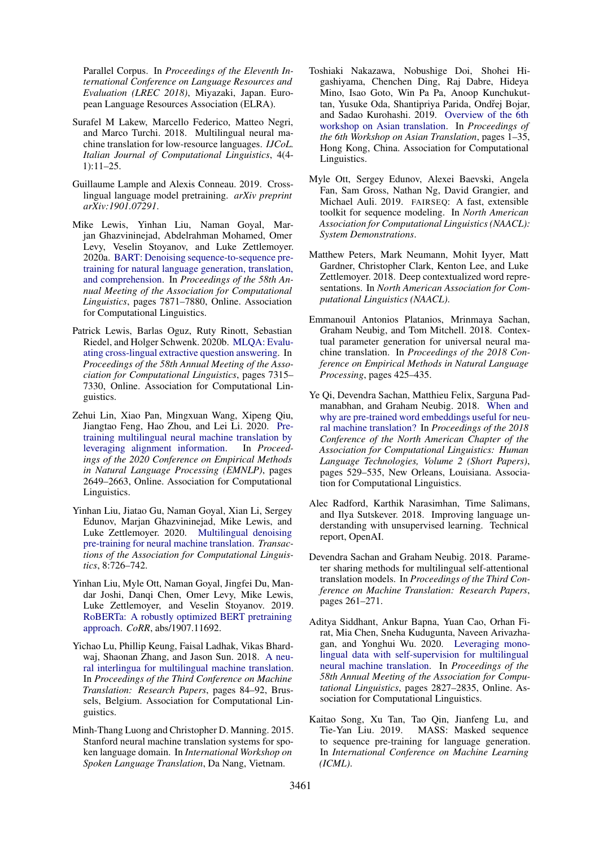Parallel Corpus. In *Proceedings of the Eleventh International Conference on Language Resources and Evaluation (LREC 2018)*, Miyazaki, Japan. European Language Resources Association (ELRA).

- <span id="page-11-7"></span>Surafel M Lakew, Marcello Federico, Matteo Negri, and Marco Turchi. 2018. Multilingual neural machine translation for low-resource languages. *IJCoL. Italian Journal of Computational Linguistics*, 4(4- 1):11–25.
- <span id="page-11-0"></span>Guillaume Lample and Alexis Conneau. 2019. Crosslingual language model pretraining. *arXiv preprint arXiv:1901.07291*.
- <span id="page-11-6"></span>Mike Lewis, Yinhan Liu, Naman Goyal, Marjan Ghazvininejad, Abdelrahman Mohamed, Omer Levy, Veselin Stoyanov, and Luke Zettlemoyer. 2020a. [BART: Denoising sequence-to-sequence pre](https://doi.org/10.18653/v1/2020.acl-main.703)[training for natural language generation, translation,](https://doi.org/10.18653/v1/2020.acl-main.703) [and comprehension.](https://doi.org/10.18653/v1/2020.acl-main.703) In *Proceedings of the 58th Annual Meeting of the Association for Computational Linguistics*, pages 7871–7880, Online. Association for Computational Linguistics.
- <span id="page-11-13"></span>Patrick Lewis, Barlas Oguz, Ruty Rinott, Sebastian Riedel, and Holger Schwenk. 2020b. [MLQA: Evalu](https://doi.org/10.18653/v1/2020.acl-main.653)[ating cross-lingual extractive question answering.](https://doi.org/10.18653/v1/2020.acl-main.653) In *Proceedings of the 58th Annual Meeting of the Association for Computational Linguistics*, pages 7315– 7330, Online. Association for Computational Linguistics.
- <span id="page-11-11"></span>Zehui Lin, Xiao Pan, Mingxuan Wang, Xipeng Qiu, Jiangtao Feng, Hao Zhou, and Lei Li. 2020. [Pre](https://doi.org/10.18653/v1/2020.emnlp-main.210)[training multilingual neural machine translation by](https://doi.org/10.18653/v1/2020.emnlp-main.210)<br>leveraging alignment information. In *Proceed*[leveraging alignment information.](https://doi.org/10.18653/v1/2020.emnlp-main.210) *ings of the 2020 Conference on Empirical Methods in Natural Language Processing (EMNLP)*, pages 2649–2663, Online. Association for Computational Linguistics.
- <span id="page-11-1"></span>Yinhan Liu, Jiatao Gu, Naman Goyal, Xian Li, Sergey Edunov, Marjan Ghazvininejad, Mike Lewis, and Luke Zettlemoyer. 2020. [Multilingual denoising](https://doi.org/10.1162/tacl_a_00343) [pre-training for neural machine translation.](https://doi.org/10.1162/tacl_a_00343) *Transactions of the Association for Computational Linguistics*, 8:726–742.
- <span id="page-11-2"></span>Yinhan Liu, Myle Ott, Naman Goyal, Jingfei Du, Mandar Joshi, Danqi Chen, Omer Levy, Mike Lewis, Luke Zettlemoyer, and Veselin Stoyanov. 2019. [RoBERTa: A robustly optimized BERT pretraining](http://arxiv.org/abs/1907.11692) [approach.](http://arxiv.org/abs/1907.11692) *CoRR*, abs/1907.11692.
- <span id="page-11-10"></span>Yichao Lu, Phillip Keung, Faisal Ladhak, Vikas Bhardwaj, Shaonan Zhang, and Jason Sun. 2018. [A neu](https://doi.org/10.18653/v1/W18-6309)[ral interlingua for multilingual machine translation.](https://doi.org/10.18653/v1/W18-6309) In *Proceedings of the Third Conference on Machine Translation: Research Papers*, pages 84–92, Brussels, Belgium. Association for Computational Linguistics.
- <span id="page-11-14"></span>Minh-Thang Luong and Christopher D. Manning. 2015. Stanford neural machine translation systems for spoken language domain. In *International Workshop on Spoken Language Translation*, Da Nang, Vietnam.
- <span id="page-11-16"></span>Toshiaki Nakazawa, Nobushige Doi, Shohei Higashiyama, Chenchen Ding, Raj Dabre, Hideya Mino, Isao Goto, Win Pa Pa, Anoop Kunchukuttan, Yusuke Oda, Shantipriya Parida, Ondřej Bojar, and Sadao Kurohashi. 2019. [Overview of the 6th](https://doi.org/10.18653/v1/D19-5201) [workshop on Asian translation.](https://doi.org/10.18653/v1/D19-5201) In *Proceedings of the 6th Workshop on Asian Translation*, pages 1–35, Hong Kong, China. Association for Computational Linguistics.
- <span id="page-11-17"></span>Myle Ott, Sergey Edunov, Alexei Baevski, Angela Fan, Sam Gross, Nathan Ng, David Grangier, and Michael Auli. 2019. FAIRSEQ: A fast, extensible toolkit for sequence modeling. In *North American Association for Computational Linguistics (NAACL): System Demonstrations*.
- <span id="page-11-3"></span>Matthew Peters, Mark Neumann, Mohit Iyyer, Matt Gardner, Christopher Clark, Kenton Lee, and Luke Zettlemoyer. 2018. Deep contextualized word representations. In *North American Association for Computational Linguistics (NAACL)*.
- <span id="page-11-8"></span>Emmanouil Antonios Platanios, Mrinmaya Sachan, Graham Neubig, and Tom Mitchell. 2018. Contextual parameter generation for universal neural machine translation. In *Proceedings of the 2018 Conference on Empirical Methods in Natural Language Processing*, pages 425–435.
- <span id="page-11-15"></span>Ye Qi, Devendra Sachan, Matthieu Felix, Sarguna Padmanabhan, and Graham Neubig. 2018. [When and](https://doi.org/10.18653/v1/N18-2084) [why are pre-trained word embeddings useful for neu](https://doi.org/10.18653/v1/N18-2084)[ral machine translation?](https://doi.org/10.18653/v1/N18-2084) In *Proceedings of the 2018 Conference of the North American Chapter of the Association for Computational Linguistics: Human Language Technologies, Volume 2 (Short Papers)*, pages 529–535, New Orleans, Louisiana. Association for Computational Linguistics.
- <span id="page-11-4"></span>Alec Radford, Karthik Narasimhan, Time Salimans, and Ilya Sutskever. 2018. Improving language understanding with unsupervised learning. Technical report, OpenAI.
- <span id="page-11-9"></span>Devendra Sachan and Graham Neubig. 2018. Parameter sharing methods for multilingual self-attentional translation models. In *Proceedings of the Third Conference on Machine Translation: Research Papers*, pages 261–271.
- <span id="page-11-12"></span>Aditya Siddhant, Ankur Bapna, Yuan Cao, Orhan Firat, Mia Chen, Sneha Kudugunta, Naveen Arivazhagan, and Yonghui Wu. 2020. [Leveraging mono](https://doi.org/10.18653/v1/2020.acl-main.252)[lingual data with self-supervision for multilingual](https://doi.org/10.18653/v1/2020.acl-main.252) [neural machine translation.](https://doi.org/10.18653/v1/2020.acl-main.252) In *Proceedings of the 58th Annual Meeting of the Association for Computational Linguistics*, pages 2827–2835, Online. Association for Computational Linguistics.
- <span id="page-11-5"></span>Kaitao Song, Xu Tan, Tao Qin, Jianfeng Lu, and Tie-Yan Liu. 2019. MASS: Masked sequence to sequence pre-training for language generation. In *International Conference on Machine Learning (ICML)*.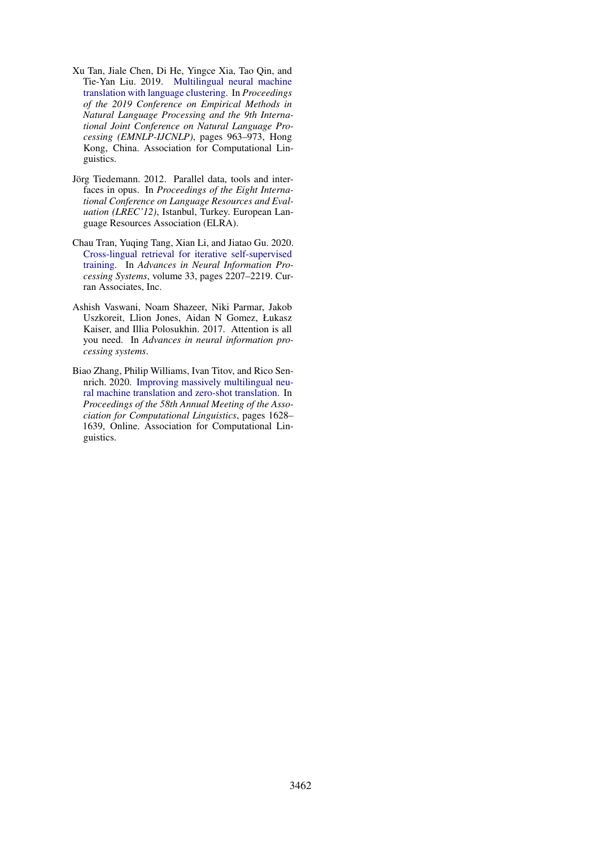- <span id="page-12-1"></span>Xu Tan, Jiale Chen, Di He, Yingce Xia, Tao Qin, and Tie-Yan Liu. 2019. [Multilingual neural machine](https://doi.org/10.18653/v1/D19-1089) [translation with language clustering.](https://doi.org/10.18653/v1/D19-1089) In *Proceedings of the 2019 Conference on Empirical Methods in Natural Language Processing and the 9th International Joint Conference on Natural Language Processing (EMNLP-IJCNLP)*, pages 963–973, Hong Kong, China. Association for Computational Linguistics.
- <span id="page-12-3"></span>Jörg Tiedemann. 2012. Parallel data, tools and interfaces in opus. In *Proceedings of the Eight International Conference on Language Resources and Evaluation (LREC'12)*, Istanbul, Turkey. European Language Resources Association (ELRA).
- <span id="page-12-0"></span>Chau Tran, Yuqing Tang, Xian Li, and Jiatao Gu. 2020. [Cross-lingual retrieval for iterative self-supervised](https://proceedings.neurips.cc/paper/2020/file/1763ea5a7e72dd7ee64073c2dda7a7a8-Paper.pdf) [training.](https://proceedings.neurips.cc/paper/2020/file/1763ea5a7e72dd7ee64073c2dda7a7a8-Paper.pdf) In *Advances in Neural Information Processing Systems*, volume 33, pages 2207–2219. Curran Associates, Inc.
- <span id="page-12-4"></span>Ashish Vaswani, Noam Shazeer, Niki Parmar, Jakob Uszkoreit, Llion Jones, Aidan N Gomez, Łukasz Kaiser, and Illia Polosukhin. 2017. Attention is all you need. In *Advances in neural information processing systems*.
- <span id="page-12-2"></span>Biao Zhang, Philip Williams, Ivan Titov, and Rico Sennrich. 2020. [Improving massively multilingual neu](https://doi.org/10.18653/v1/2020.acl-main.148)[ral machine translation and zero-shot translation.](https://doi.org/10.18653/v1/2020.acl-main.148) In *Proceedings of the 58th Annual Meeting of the Association for Computational Linguistics*, pages 1628– 1639, Online. Association for Computational Linguistics.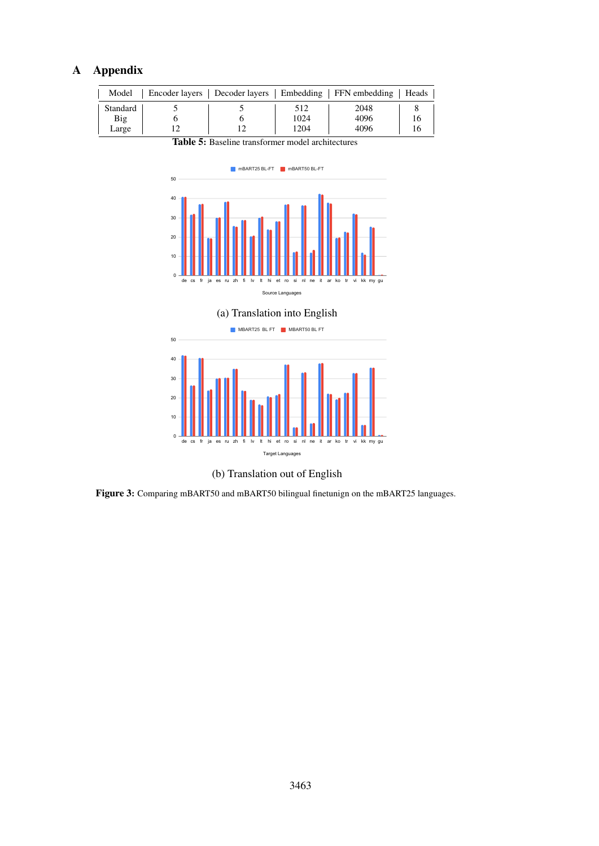# A Appendix

| Model                    |  |                     | Encoder layers   Decoder layers   Embedding   FFN embedding | Heads |
|--------------------------|--|---------------------|-------------------------------------------------------------|-------|
| Standard<br>Big<br>Large |  | 512<br>1024<br>1204 | 2048<br>4096<br>4096                                        |       |

<span id="page-13-0"></span>Table 5: Baseline transformer model architectures







<span id="page-13-1"></span>Figure 3: Comparing mBART50 and mBART50 bilingual finetunign on the mBART25 languages.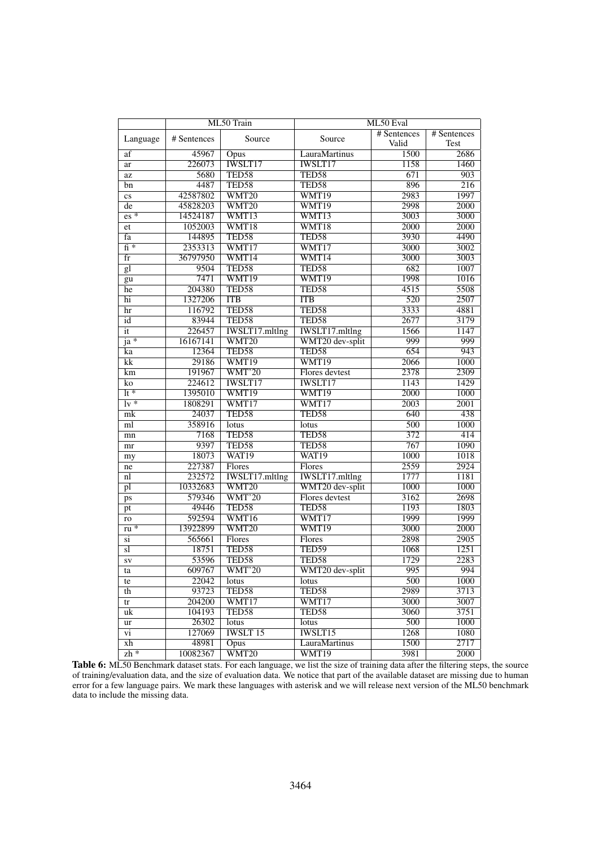<span id="page-14-0"></span>

|                          |             | ML50 Train        | ML50 Eval             |                   |             |  |  |  |  |
|--------------------------|-------------|-------------------|-----------------------|-------------------|-------------|--|--|--|--|
|                          |             |                   |                       | # Sentences       | # Sentences |  |  |  |  |
| Language                 | # Sentences | Source            | Source                | Valid             | Test        |  |  |  |  |
| af                       | 45967       | Opus              | LauraMartinus         | 1500              | 2686        |  |  |  |  |
| ar                       | 226073      | <b>IWSLT17</b>    | <b>IWSLT17</b>        | 1158              | 1460        |  |  |  |  |
| az                       | 5680        | TED58             | TED58                 | 671               | 903         |  |  |  |  |
| bn                       | 4487        | TED58             | TED58                 | 896               | 216         |  |  |  |  |
| $\mathbf{c}\mathbf{s}$   | 42587802    | WMT20             | WMT19                 | 2983              | 1997        |  |  |  |  |
| de                       | 45828203    | WMT20             | WMT19                 | 2998              | 2000        |  |  |  |  |
| $\overline{es*}$         | 14524187    | WMT13             | WMT <sub>13</sub>     | 3003              | 3000        |  |  |  |  |
| et                       | 1052003     | WMT18             | WMT <sub>18</sub>     | 2000              | 2000        |  |  |  |  |
| fa                       | 144895      | TED58             | TED58                 | 3930              | 4490        |  |  |  |  |
| $\overline{fi}$ *        | 2353313     | WMT17             | WMT17                 | 3000              | 3002        |  |  |  |  |
| $\overline{\text{fr}}$   | 36797950    | WMT14             | WMT14                 | 3000              | 3003        |  |  |  |  |
| gl                       | 9504        | TED58             | TED58                 | 682               | 1007        |  |  |  |  |
| gu                       | 7471        | WMT19             | WMT19                 | 1998              | 1016        |  |  |  |  |
| he                       | 204380      | TED58             | TED58                 | 4515              | 5508        |  |  |  |  |
| hi                       | 1327206     | <b>ITB</b>        | <b>ITB</b>            | 520               | 2507        |  |  |  |  |
| $\overline{\text{hr}}$   | 116792      | TED58             | TED58                 | 3333              | 4881        |  |  |  |  |
| id                       | 83944       | TED58             | TED58                 | 2677              | 3179        |  |  |  |  |
| $\overline{\text{it}}$   | 226457      | IWSLT17.mltlng    | <b>IWSLT17.mltlng</b> | 1566              | 1147        |  |  |  |  |
| $j$ a $*$                | 16167141    | WMT20             | WMT20 dev-split       | 999               | 999         |  |  |  |  |
| ka                       | 12364       | TED58             | TED58                 | 654               | 943         |  |  |  |  |
| kk                       | 29186       | WMT19             | WMT19                 | 2066              | 1000        |  |  |  |  |
| km                       | 191967      | WMT'20            | Flores devtest        | 2378              | 2309        |  |  |  |  |
| $\overline{\text{ko}}$   | 224612      | <b>IWSLT17</b>    | <b>IWSLT17</b>        | 1143              | 1429        |  |  |  |  |
| $\overline{\text{It}}$ * | 1395010     | WMT19             | WMT19                 | 2000              | 1000        |  |  |  |  |
| $\overline{v^*}$         | 1808291     | WMT17             | WMT17                 | $\overline{2003}$ | 2001        |  |  |  |  |
| mk                       | 24037       | TED58             | TED58                 | 640               | 438         |  |  |  |  |
| ml                       | 358916      | lotus             | lotus                 | 500               | <b>1000</b> |  |  |  |  |
| mn                       | 7168        | TED58             | TED58                 | 372               | 414         |  |  |  |  |
| mr                       | 9397        | TED58             | TED58                 | 767               | 1090        |  |  |  |  |
| my                       | 18073       | WAT <sub>19</sub> | WAT <sub>19</sub>     | 1000              | 1018        |  |  |  |  |
| ne                       | 227387      | Flores            | Flores                | 2559              | 2924        |  |  |  |  |
| n                        | 232572      | IWSLT17.mltlng    | <b>IWSLT17.mltlng</b> | 1777              | 1181        |  |  |  |  |
| $\overline{pl}$          | 10332683    | WMT20             | WMT20 dev-split       | 1000              | 1000        |  |  |  |  |
| ps                       | 579346      | WMT'20            | Flores devtest        | 3162              | 2698        |  |  |  |  |
| pt                       | 49446       | TED58             | TED58                 | 1193              | 1803        |  |  |  |  |
| ro                       | 592594      | WMT16             | WMT17                 | 1999              | 1999        |  |  |  |  |
| $ru *$                   | 13922899    | WMT20             | WMT19                 | 3000              | 2000        |  |  |  |  |
| si                       | 565661      | Flores            | Flores                | 2898              | 2905        |  |  |  |  |
| sl                       | 18751       | TED58             | TED59                 | 1068              | 1251        |  |  |  |  |
| SV                       | 53596       | TED58             | TED58                 | 1729              | 2283        |  |  |  |  |
| ta                       | 609767      | WMT'20            | WMT20 dev-split       | 995               | 994         |  |  |  |  |
| te                       | 22042       | lotus             | lotus                 | $\overline{500}$  | 1000        |  |  |  |  |
| th                       | 93723       | TED58             | TED58                 | 2989              | 3713        |  |  |  |  |
| tr                       | 204200      | WMT17             | WMT17                 | 3000              | 3007        |  |  |  |  |
| uk                       | 104193      | TED58             | TED58                 | 3060              | 3751        |  |  |  |  |
| ur                       | 26302       | lotus             | lotus                 | 500               | 1000        |  |  |  |  |
| $\overline{vi}$          | 127069      | <b>IWSLT15</b>    | <b>IWSLT15</b>        | 1268              | 1080        |  |  |  |  |
| xh                       | 48981       | Opus              | LauraMartinus         | 1500              | 2717        |  |  |  |  |
| $zh *$                   | 10082367    | WMT20             | WMT19                 | 3981              | 2000        |  |  |  |  |

Table 6: ML50 Benchmark dataset stats. For each language, we list the size of training data after the filtering steps, the source of training/evaluation data, and the size of evaluation data. We notice that part of the ava error for a few language pairs. We mark these languages with asterisk and we will release next version of the ML50 benchmark data to include the missing data.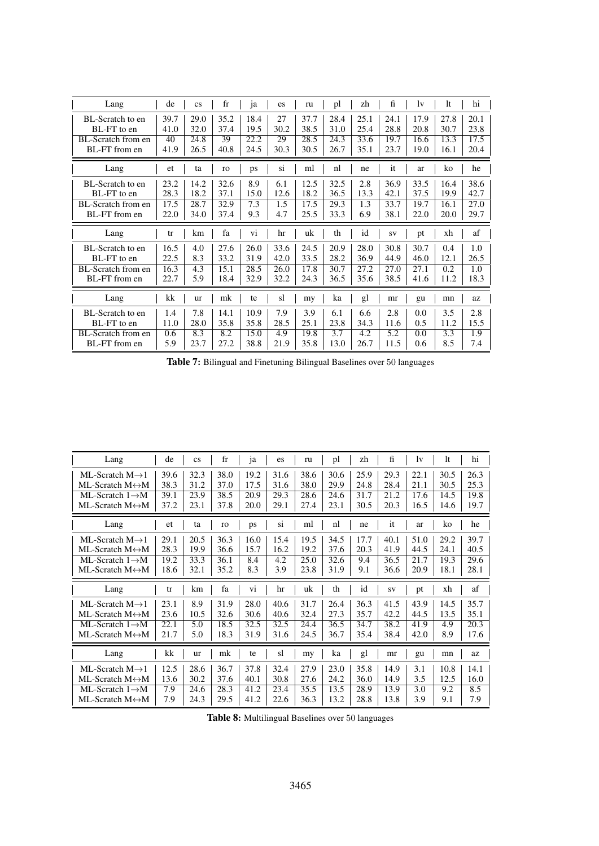| Lang                      | de   | $\mathbf{c}\mathbf{s}$ | $_{\rm fr}$ | 1a   | es.  | ru   | pl   | zh   | fi   | lv   | lt   | hi                |
|---------------------------|------|------------------------|-------------|------|------|------|------|------|------|------|------|-------------------|
| BL-Scratch to en          | 39.7 | 29.0                   | 35.2        | 18.4 | 27   | 37.7 | 28.4 | 25.1 | 24.1 | 17.9 | 27.8 | 20.1              |
| BL-FT to en               | 41.0 | 32.0                   | 37.4        | 19.5 | 30.2 | 38.5 | 31.0 | 25.4 | 28.8 | 20.8 | 30.7 | 23.8              |
| BL-Scratch from en        | 40   | 24.8                   | 39          | 22.2 | 29   | 28.5 | 24.3 | 33.6 | 19.7 | 16.6 | 13.3 | 17.5              |
| BL-FT from en             | 41.9 | 26.5                   | 40.8        | 24.5 | 30.3 | 30.5 | 26.7 | 35.1 | 23.7 | 19.0 | 16.1 | 20.4              |
| Lang                      | et   | ta                     | ro          | ps   | Sİ.  | ml   | nl   | ne   | it   | ar   | ko   | he                |
| BL-Scratch to en          | 23.2 | 14.2                   | 32.6        | 8.9  | 6.1  | 12.5 | 32.5 | 2.8  | 36.9 | 33.5 | 16.4 | 38.6              |
| BL-FT to en               | 28.3 | 18.2                   | 37.1        | 15.0 | 12.6 | 18.2 | 36.5 | 13.3 | 42.1 | 37.5 | 19.9 | 42.7              |
| <b>BL-Scratch from en</b> | 17.5 | 28.7                   | 32.9        | 7.3  | 1.5  | 17.5 | 29.3 | 1.3  | 33.7 | 19.7 | 16.1 | $\overline{27.0}$ |
| BL-FT from en             | 22.0 | 34.0                   | 37.4        | 9.3  | 4.7  | 25.5 | 33.3 | 6.9  | 38.1 | 22.0 | 20.0 | 29.7              |
|                           |      |                        |             |      |      |      |      |      |      |      |      |                   |
| Lang                      | tr   | km                     | fa          | Vİ.  | hr   | uk   | th   | id   | SV   | pt   | xh   | af                |
| BL-Scratch to en          | 16.5 | 4.0                    | 27.6        | 26.0 | 33.6 | 24.5 | 20.9 | 28.0 | 30.8 | 30.7 | 0.4  | 1.0               |
| BL-FT to en               | 22.5 | 8.3                    | 33.2        | 31.9 | 42.0 | 33.5 | 28.2 | 36.9 | 44.9 | 46.0 | 12.1 | 26.5              |
| BL-Scratch from en        | 16.3 | 4.3                    | 15.1        | 28.5 | 26.0 | 17.8 | 30.7 | 27.2 | 27.0 | 27.1 | 0.2  | 1.0               |
| BL-FT from en             | 22.7 | 5.9                    | 18.4        | 32.9 | 32.2 | 24.3 | 36.5 | 35.6 | 38.5 | 41.6 | 11.2 | 18.3              |
| Lang                      | kk   | ur                     | mk          | te   | sl   | my   | ka   | gl   | mr   | gu   | mn   | az                |
| BL-Scratch to en          | 1.4  | 7.8                    | 14.1        | 10.9 | 7.9  | 3.9  | 6.1  | 6.6  | 2.8  | 0.0  | 3.5  | 2.8               |
| BL-FT to en               | 11.0 | 28.0                   | 35.8        | 35.8 | 28.5 | 25.1 | 23.8 | 34.3 | 11.6 | 0.5  | 11.2 | 15.5              |
| BL-Scratch from en        | 0.6  | 8.3                    | 8.2         | 15.0 | 4.9  | 19.8 | 3.7  | 4.2  | 5.2  | 0.0  | 3.3  | 1.9               |

Table 7: Bilingual and Finetuning Bilingual Baselines over 50 languages

| Lang                             | de   | <b>CS</b> | fr   | ja   | es   | ru   | pl   | zh   | fi   | lv   | lt   | hi   |
|----------------------------------|------|-----------|------|------|------|------|------|------|------|------|------|------|
| ML-Scratch $M\rightarrow 1$      | 39.6 | 32.3      | 38.0 | 19.2 | 31.6 | 38.6 | 30.6 | 25.9 | 29.3 | 22.1 | 30.5 | 26.3 |
| ML-Scratch $M \leftrightarrow M$ | 38.3 | 31.2      | 37.0 | 17.5 | 31.6 | 38.0 | 29.9 | 24.8 | 28.4 | 21.1 | 30.5 | 25.3 |
| ML-Scratch $1 \rightarrow M$     | 39.1 | 23.9      | 38.5 | 20.9 | 29.3 | 28.6 | 24.6 | 31.7 | 21.2 | 17.6 | 14.5 | 19.8 |
| ML-Scratch $M \leftrightarrow M$ | 37.2 | 23.1      | 37.8 | 20.0 | 29.1 | 27.4 | 23.1 | 30.5 | 20.3 | 16.5 | 14.6 | 19.7 |
| Lang                             | et   | ta        | ro   | ps   | si   | ml   | nl   | ne   | it   | ar   | ko   | he   |
| ML-Scratch $M\rightarrow 1$      | 29.1 | 20.5      | 36.3 | 16.0 | 15.4 | 19.5 | 34.5 | 17.7 | 40.1 | 51.0 | 29.2 | 39.7 |
| ML-Scratch $M \leftrightarrow M$ | 28.3 | 19.9      | 36.6 | 15.7 | 16.2 | 19.2 | 37.6 | 20.3 | 41.9 | 44.5 | 24.1 | 40.5 |
| ML-Scratch $1 \rightarrow M$     | 19.2 | 33.3      | 36.1 | 8.4  | 4.2  | 25.0 | 32.6 | 9.4  | 36.5 | 21.7 | 19.3 | 29.6 |
| ML-Scratch $M \leftrightarrow M$ | 18.6 | 32.1      | 35.2 | 8.3  | 3.9  | 23.8 | 31.9 | 9.1  | 36.6 | 20.9 | 18.1 | 28.1 |
| Lang                             | tr   | km        | fa   | vi   | hr   | uk   | th   | id   | SV   | pt   | xh   | af   |
|                                  |      |           |      |      |      |      |      |      |      |      |      |      |
| ML-Scratch $M\rightarrow 1$      | 23.1 | 8.9       | 31.9 | 28.0 | 40.6 | 31.7 | 26.4 | 36.3 | 41.5 | 43.9 | 14.5 | 35.7 |
| ML-Scratch $M \leftrightarrow M$ | 23.6 | 10.5      | 32.6 | 30.6 | 40.6 | 32.4 | 27.3 | 35.7 | 42.2 | 44.5 | 13.5 | 35.1 |
| ML-Scratch $1 \rightarrow M$     | 22.1 | 5.0       | 18.5 | 32.5 | 32.5 | 24.4 | 36.5 | 34.7 | 38.2 | 41.9 | 4.9  | 20.3 |
| ML-Scratch $M \leftrightarrow M$ | 21.7 | 5.0       | 18.3 | 31.9 | 31.6 | 24.5 | 36.7 | 35.4 | 38.4 | 42.0 | 8.9  | 17.6 |
| Lang                             | kk   | <b>ur</b> | mk   | te   | sl   | my   | ka   | gl   | mr   | gu   | mn   | az   |
| ML-Scratch $M\rightarrow 1$      | 12.5 | 28.6      | 36.7 | 37.8 | 32.4 | 27.9 | 23.0 | 35.8 | 14.9 | 3.1  | 10.8 | 14.1 |
| ML-Scratch $M \leftrightarrow M$ | 13.6 | 30.2      | 37.6 | 40.1 | 30.8 | 27.6 | 24.2 | 36.0 | 14.9 | 3.5  | 12.5 | 16.0 |
| ML-Scratch $1 \rightarrow M$     | 7.9  | 24.6      | 28.3 | 41.2 | 23.4 | 35.5 | 13.5 | 28.9 | 13.9 | 3.0  | 9.2  | 8.5  |
| ML-Scratch M↔M                   | 7.9  | 24.3      | 29.5 | 41.2 | 22.6 | 36.3 | 13.2 | 28.8 | 13.8 | 3.9  | 9.1  | 7.9  |

Table 8: Multilingual Baselines over 50 languages